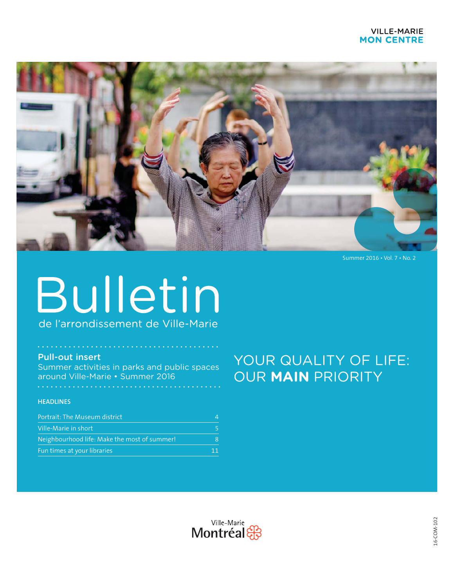## **VILLE-MARIE MON CENTRE**



Summer 2016 . Vol. 7 . No. 2

# Bulletin de l'arrondissement de Ville-Marie

### **Pull-out insert**

Summer activities in parks and public spaces around Ville-Marie • Summer 2016

#### **HEADLINES**

| Portrait: The Museum district                |    |
|----------------------------------------------|----|
| Ville-Marie in short                         |    |
| Neighbourhood life: Make the most of summer! | 8  |
| Fun times at your libraries                  | 11 |

## YOUR QUALITY OF LIFE: OUR MAIN PRIORITY

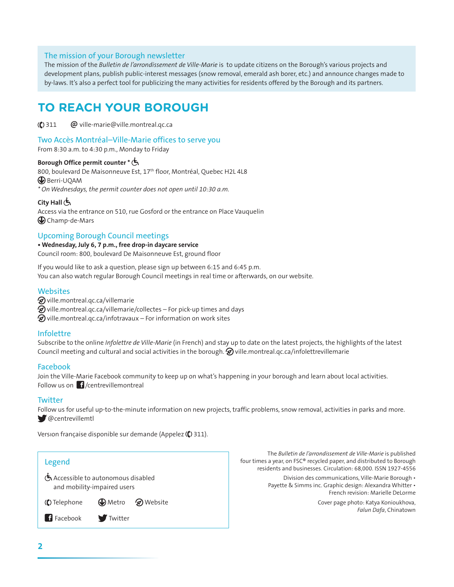#### The mission of your Borough newsletter

The mission of the Bulletin de l'arrondissement de Ville-Marie is to update citizens on the Borough's various projects and development plans, publish public-interest messages (snow removal, emerald ash borer, etc.) and announce changes made to by-laws. It's also a perfect tool for publicizing the many activities for residents offered by the Borough and its partners.

## **TO REACH YOUR BOROUGH**

**(C)** 311 **@** ville-marie@ville.montreal.gc.ca

#### Two Accès Montréal–Ville-Marie offices to serve you

From 8:30 a.m. to 4:30 p.m., Monday to Friday

#### **Borough Office permit counter \***

800, boulevard De Maisonneuve Est, 17<sup>th</sup> floor, Montréal, Quebec H2L 4L8 **B** Berri-UOAM *\* On Wednesdays, the permit counter does not open until 10:30 a.m.* 

#### **City Hall**

Access via the entrance on 510, rue Gosford or the entrance on Place Vauquelin **Champ-de-Mars** 

#### Upcoming Borough Council meetings

• Wednesday, July 6, 7 p.m., free drop-in daycare service Council room: 800, boulevard De Maisonneuve Est, ground floor

If you would like to ask a question, please sign up between 6:15 and 6:45 p.m. You can also watch regular Borough Council meetings in real time or afterwards, on our website.

#### **Websites**

- $\mathcal D$  ville.montreal.qc.ca/villemarie
- $\bigotimes$  ville.montreal.qc.ca/villemarie/collectes For pick-up times and days

 $\mathcal D$  ville.montreal.qc.ca/infotravaux – For information on work sites

#### Infolettre

Subscribe to the online *Infolettre de Ville-Marie* (in French) and stay up to date on the latest projects, the highlights of the latest Council meeting and cultural and social activities in the borough.  $\mathcal{D}$  ville montreal gc.ca/infolettrevillemarie

#### Facebook

Join the Ville-Marie Facebook community to keep up on what's happening in your borough and learn about local activities. Follow us on  $\int$  / centrevillemontreal

#### **Twitter**

Follow us for useful up-to-the-minute information on new projects, traffic problems, snow removal, activities in parks and more.  $\bigcirc$  @centrevillemtl

Versıon française disponible sur demande (Appelez **(()** 311).



The Bulletin de l'arrondissement de Ville-Marie is published four times a year, on FSC® recycled paper, and distributed to Borough residents and businesses. Circulation: 68,000. ISSN 1927-4556

> Division des communications, Ville-Marie Borough . Payette & Simms inc. Graphic design: Alexandra Whitter . French revision: Marielle DeLorme

> > Cover page photo: Katya Konioukhova, Falun Dafa, Chinatown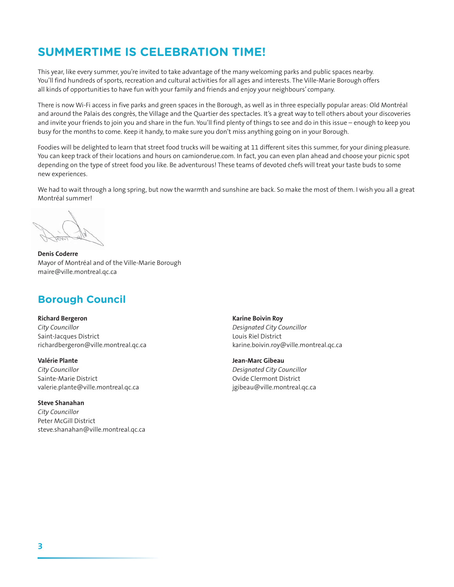## **SUMMERTIME IS CELEBRATION TIME!**

This year, like every summer, you're invited to take advantage of the many welcoming parks and public spaces nearby. You'll find hundreds of sports, recreation and cultural activities for all ages and interests. The Ville-Marie Borough offers all kinds of opportunities to have fun with your family and friends and enjoy your neighbours' company.

There is now Wi-Fi access in five parks and green spaces in the Borough, as well as in three especially popular areas: Old Montréal and around the Palais des congrès, the Village and the Quartier des spectacles. It's a great way to tell others about your discoveries and invite your friends to join you and share in the fun. You'll find plenty of things to see and do in this issue - enough to keep you busy for the months to come. Keep it handy, to make sure you don't miss anything going on in your Borough.

Foodies will be delighted to learn that street food trucks will be waiting at 11 different sites this summer, for your dining pleasure. You can keep track of their locations and hours on camionderue.com. In fact, you can even plan ahead and choose your picnic spot depending on the type of street food you like. Be adventurous! These teams of devoted chefs will treat your taste buds to some new experiences.

We had to wait through a long spring, but now the warmth and sunshine are back. So make the most of them. I wish you all a great Montréal summer!

**Denis Coderre** Mayor of Montréal and of the Ville-Marie Borough maire@ville.montreal.gc.ca

## **Borough Council**

**Richard Bergeron** City Councillor Saint-Jacques District richardbergeron@ville.montreal.qc.ca

**Valérie Plante** City Councillor Sainte-Marie District valerie.plante@ville.montreal.qc.ca

#### **Steve Shanahan**

City Councillor Peter McGill District steve.shanahan@ville.montreal.gc.ca

**Karine Boivin Roy** Designated City Councillor Louis Riel District karine.boivin.roy@ville.montreal.qc.ca

Jean-Marc Gibeau Designated City Councillor Ovide Clermont District jgibeau@ville.montreal.qc.ca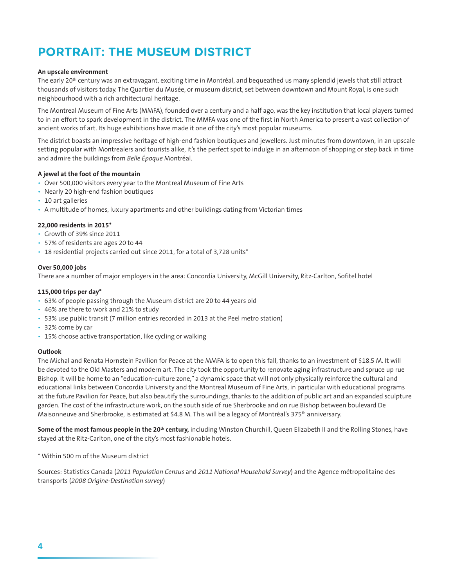## **PORTRAIT: THE MUSEUM DISTRICT**

#### An upscale environment

The early 20<sup>th</sup> century was an extravagant, exciting time in Montréal, and bequeathed us many splendid jewels that still attract thousands of visitors today. The Quartier du Musée, or museum district, set between downtown and Mount Royal, is one such neighbourhood with a rich architectural heritage.

The Montreal Museum of Fine Arts (MMFA), founded over a century and a half ago, was the key institution that local players turned to in an effort to spark development in the district. The MMFA was one of the first in North America to present a vast collection of ancient works of art. Its huge exhibitions have made it one of the city's most popular museums.

The district boasts an impressive heritage of high-end fashion boutiques and jewellers. Just minutes from downtown, in an upscale setting popular with Montrealers and tourists alike, it's the perfect spot to indulge in an afternoon of shopping or step back in time and admire the buildings from Belle Époque Montréal.

#### A jewel at the foot of the mountain

- Over 500,000 visitors every year to the Montreal Museum of Fine Arts
- Nearly 20 high-end fashion boutiques
- 10 art galleries
- A multitude of homes, luxury apartments and other buildings dating from Victorian times

#### 22,000 residents in 2015\*

- Growth of 39% since 2011
- 57% of residents are ages 20 to 44
- 18 residential projects carried out since 2011, for a total of 3,728 units\*

#### Over 50,000 jobs

There are a number of major employers in the area: Concordia University, McGill University, Ritz-Carlton, Sofitel hotel

#### 115,000 trips per day\*

- 63% of people passing through the Museum district are 20 to 44 years old
- + 46% are there to work and 21% to study
- 53% use public transit (7 million entries recorded in 2013 at the Peel metro station)
- 32% come by car
- 15% choose active transportation, like cycling or walking

#### Outlook

The Michal and Renata Hornstein Pavilion for Peace at the MMFA is to open this fall, thanks to an investment of \$18.5 M. It will be devoted to the Old Masters and modern art. The city took the opportunity to renovate aging infrastructure and spruce up rue Bishop. It will be home to an "education-culture zone," a dynamic space that will not only physically reinforce the cultural and educational links between Concordia University and the Montreal Museum of Fine Arts, in particular with educational programs at the future Pavilion for Peace, but also beautify the surroundings, thanks to the addition of public art and an expanded sculpture garden. The cost of the infrastructure work, on the south side of rue Sherbrooke and on rue Bishop between boulevard De Maisonneuve and Sherbrooke, is estimated at \$4.8 M. This will be a legacy of Montréal's 375<sup>th</sup> anniversary.

Some of the most famous people in the 20<sup>th</sup> century, including Winston Churchill, Queen Elizabeth II and the Rolling Stones, have stayed at the Ritz-Carlton, one of the city's most fashionable hotels.

\* Within 500 m of the Museum district

Sources: Statistics Canada (2011 Population Census and 2011 National Household Survey) and the Agence métropolitaine des transports (2008 Origine-Destination survey)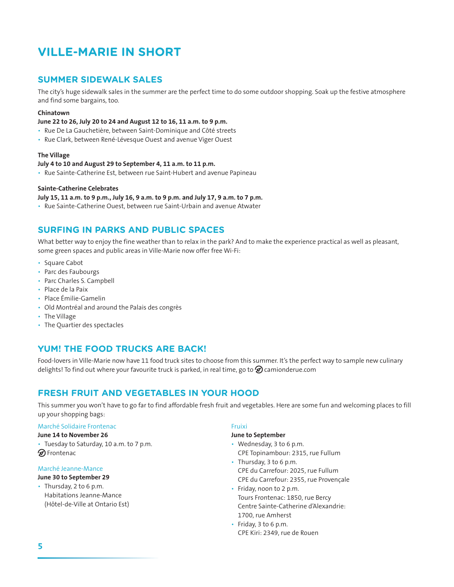## **VILLE-MARIE IN SHORT**

## **SUMMER SIDEWALK SALES**

The city's huge sidewalk sales in the summer are the perfect time to do some outdoor shopping. Soak up the festive atmosphere and find some bargains, too.

#### Chinatown

#### June 22 to 26, July 20 to 24 and August 12 to 16, 11 a.m. to 9 p.m.

- · Rue De La Gauchetière, between Saint-Dominique and Côté streets
- · Rue Clark, between René-Lévesque Ouest and avenue Viger Ouest

#### **The Village**

#### July 4 to 10 and August 29 to September 4, 11 a.m. to 11 p.m.

• Rue Sainte-Catherine Est, between rue Saint-Hubert and avenue Papineau

#### **Sainte-Catherine Celebrates**

#### July 15, 11 a.m. to 9 p.m., July 16, 9 a.m. to 9 p.m. and July 17, 9 a.m. to 7 p.m.

• Rue Sainte-Catherine Ouest, between rue Saint-Urbain and avenue Atwater

## **SURFING IN PARKS AND PUBLIC SPACES**

What better way to enjoy the fine weather than to relax in the park? And to make the experience practical as well as pleasant, some green spaces and public areas in Ville-Marie now offer free Wi-Fi:

- Square Cabot
- Parc des Faubourgs
- Parc Charles S. Campbell
- · Place de la Paix
- · Place Émilie-Gamelin
- Old Montréal and around the Palais des congrès
- The Village
- The Quartier des spectacles

## YUM! THE FOOD TRUCKS ARE BACK!

Food-lovers in Ville-Marie now have 11 food truck sites to choose from this summer. It's the perfect way to sample new culinary delights! To find out where your favourite truck is parked, in real time, go to  $\bigotimes$  camionderue.com

## **FRESH FRUIT AND VEGETABLES IN YOUR HOOD**

This summer you won't have to go far to find affordable fresh fruit and vegetables. Here are some fun and welcoming places to fill up your shopping bags:

#### Marché Solidaire Frontenac

#### June 14 to November 26

· Tuesday to Saturday, 10 a.m. to 7 p.m. **Ø** Frontenac

#### Marché Jeanne-Mance

#### June 30 to September 29

• Thursday, 2 to 6 p.m. Habitations Jeanne-Mance (Hôtel-de-Ville at Ontario Est)

#### Fruixi

#### June to September

- Wednesday, 3 to 6 p.m. CPE Topinambour: 2315, rue Fullum
- Thursday, 3 to 6 p.m. CPE du Carrefour: 2025, rue Fullum CPE du Carrefour: 2355, rue Provençale
- Friday, noon to 2 p.m. Tours Frontenac: 1850, rue Bercy Centre Sainte-Catherine d'Alexandrie: 1700. rue Amherst
- Friday, 3 to 6 p.m. CPE Kiri: 2349, rue de Rouen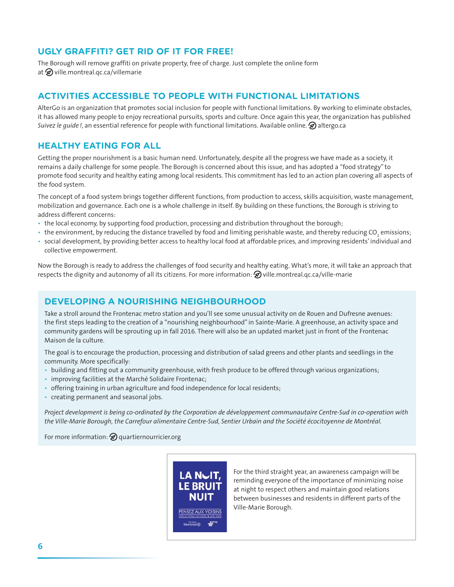## UGLY GRAFFITI? GET RID OF IT FOR FREE!

The Borough will remove graffiti on private property, free of charge. Just complete the online form at  $\mathcal D$  ville.montreal.gc.ca/villemarie

## **ACTIVITIES ACCESSIBLE TO PEOPLE WITH FUNCTIONAL LIMITATIONS**

AlterGo is an organization that promotes social inclusion for people with functional limitations. By working to eliminate obstacles, it has allowed many people to enjoy recreational pursuits, sports and culture. Once again this year, the organization has published Suivez le quide!, an essential reference for people with functional limitations. Available online.  $\Omega$  altergo.ca

## **HEALTHY EATING FOR ALL**

Getting the proper nourishment is a basic human need. Unfortunately, despite all the progress we have made as a society, it remains a daily challenge for some people. The Borough is concerned about this issue, and has adopted a "food strategy" to promote food security and healthy eating among local residents. This commitment has led to an action plan covering all aspects of the food system.

The concept of a food system brings together different functions, from production to access, skills acquisition, waste management, mobilization and governance. Each one is a whole challenge in itself. By building on these functions, the Borough is striving to address different concerns:

- the local economy, by supporting food production, processing and distribution throughout the borough;
- the environment, by reducing the distance travelled by food and limiting perishable waste, and thereby reducing CO, emissions;
- · social development, by providing better access to healthy local food at affordable prices, and improving residents' individual and collective empowerment.

Now the Borough is ready to address the challenges of food security and healthy eating. What's more, it will take an approach that respects the dignity and autonomy of all its citizens. For more information:  $\mathcal D$  ville montreal gc.ca/ville-marie

## **DEVELOPING A NOURISHING NEIGHBOURHOOD**

Take a stroll around the Frontenac metro station and you'll see some unusual activity on de Rouen and Dufresne avenues: the first steps leading to the creation of a "nourishing neighbourhood" in Sainte-Marie. A greenhouse, an activity space and community gardens will be sprouting up in fall 2016. There will also be an updated market just in front of the Frontenac Maison de la culture.

The goal is to encourage the production, processing and distribution of salad greens and other plants and seedlings in the community. More specifically:

- building and fitting out a community greenhouse, with fresh produce to be offered through various organizations;
- · improving facilities at the Marché Solidaire Frontenac;
- offering training in urban agriculture and food independence for local residents;
- creating permanent and seasonal jobs.

Project development is being co-ordinated by the Corporation de développement communautaire Centre-Sud in co-operation with the Ville-Marie Borough, the Carrefour alimentaire Centre-Sud, Sentier Urbain and the Société écocitoyenne de Montréal.

For more information:  $\bigotimes$  quartier nourricier org



For the third straight year, an awareness campaign will be reminding everyone of the importance of minimizing noise at night to respect others and maintain good relations between businesses and residents in different parts of the Ville-Marie Borough.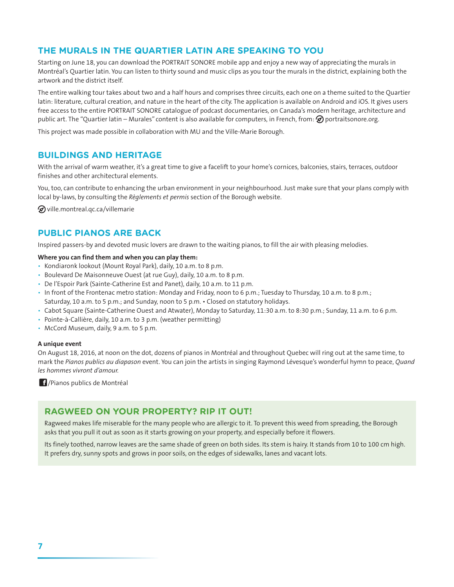## THE MURALS IN THE QUARTIER LATIN ARE SPEAKING TO YOU

Starting on June 18, you can download the PORTRAIT SONORE mobile app and enjoy a new way of appreciating the murals in Montréal's Quartier latin. You can listen to thirty sound and music clips as you tour the murals in the district, explaining both the artwork and the district itself.

The entire walking tour takes about two and a half hours and comprises three circuits, each one on a theme suited to the Quartier latin: literature, cultural creation, and nature in the heart of the city. The application is available on Android and iOS. It gives users free access to the entire PORTRAIT SONORE catalogue of podcast documentaries, on Canada's modern heritage, architecture and public art. The "Quartier latin – Murales" content is also available for computers, in French, from:  $\circled{2}$  portraitsonore.org.

This project was made possible in collaboration with MU and the Ville-Marie Borough.

## **BUILDINGS AND HERITAGE**

With the arrival of warm weather, it's a great time to give a facelift to your home's cornices, balconies, stairs, terraces, outdoor finishes and other architectural elements.

You, too, can contribute to enhancing the urban environment in your neighbourhood. Just make sure that your plans comply with local by-laws, by consulting the Reglements et permis section of the Borough website.

 $\mathcal D$  ville.montreal.gc.ca/villemarie

## **PUBLIC PIANOS ARE BACK**

Inspired passers-by and devoted music lovers are drawn to the waiting pianos, to fill the air with pleasing melodies.

#### Where you can find them and when you can play them:

- Kondiaronk lookout (Mount Royal Park), daily, 10 a.m. to 8 p.m.
- · Boulevard De Maisonneuve Ouest (at rue Guy), daily, 10 a.m. to 8 p.m.
- De l'Espoir Park (Sainte-Catherine Est and Panet), daily, 10 a.m. to 11 p.m.
- · In front of the Frontenac metro station: Monday and Friday, noon to 6 p.m.; Tuesday to Thursday, 10 a.m. to 8 p.m.; Saturday, 10 a.m. to 5 p.m.; and Sunday, noon to 5 p.m. • Closed on statutory holidays.
- Cabot Square (Sainte-Catherine Ouest and Atwater), Monday to Saturday, 11:30 a.m. to 8:30 p.m.; Sunday, 11 a.m. to 6 p.m.
- Pointe-à-Callière, daily, 10 a.m. to 3 p.m. (weather permitting)
- McCord Museum, daily, 9 a.m. to 5 p.m.

#### A unique event

On August 18, 2016, at noon on the dot, dozens of pianos in Montréal and throughout Quebec will ring out at the same time, to mark the Pianos publics au diapason event. You can join the artists in singing Raymond Lévesque's wonderful hymn to peace, Quand les hommes vivront d'amour.

<sup>1</sup>/Pianos publics de Montréal

## **RAGWEED ON YOUR PROPERTY? RIP IT OUT!**

Ragweed makes life miserable for the many people who are allergic to it. To prevent this weed from spreading, the Borough asks that you pull it out as soon as it starts growing on your property, and especially before it flowers.

Its finely toothed, narrow leaves are the same shade of green on both sides. Its stem is hairy. It stands from 10 to 100 cm high. It prefers dry, sunny spots and grows in poor soils, on the edges of sidewalks, lanes and vacant lots.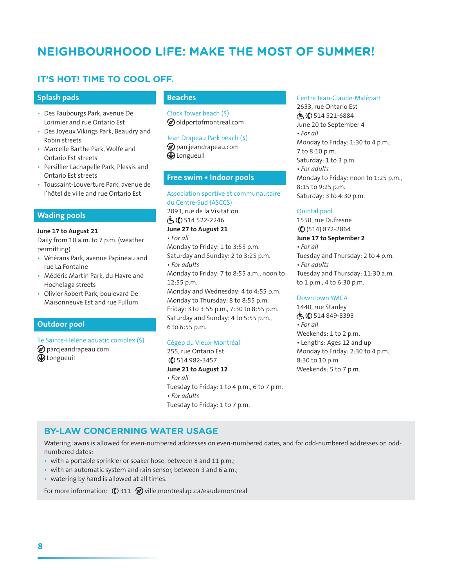## **NEIGHBOURHOOD LIFE: MAKE THE MOST OF SUMMER!**

## IT'S HOT! TIME TO COOL OFF.

#### **Splash pads**

- Des Faubourgs Park, avenue De Lorimier and rue Ontario Est
- Des Joyeux Vikings Park, Beaudry and Robin streets
- Marcelle Barthe Park, Wolfe and Ontario Est streets
- Persillier Lachapelle Park, Plessis and Ontario Est streets
- · Toussaint-Louverture Park, avenue de l'hôtel de ville and rue Ontario Est

#### **Wading pools**

#### June 17 to August 21

Daily from 10 a.m. to 7 p.m. (weather permitting)

- · Vétérans Park, avenue Papineau and rue La Fontaine
- · Médéric Martin Park, du Havre and Hochelaga streets
- · Olivier Robert Park, boulevard De Maisonneuve Est and rue Fullum

#### **Outdoor pool**

Île Sainte-Hélène aquatic complex (\$)  $\circledast$  parcjeandrapeau.com **D** Longueuil

## **Beaches**

Clock Tower beach (\$) O oldportofmontreal.com

#### Jean Drapeau Park beach (\$)

 $\circledast$  parcjeandrapeau.com **D** Longueuil

#### Free swim . Indoor pools

Association sportive et communautaire du Centre-Sud (ASCCS) 2093, rue de la Visitation  $\dot{C}$  ( ) 514 522-2246 June 27 to August 21  $\cdot$  For all Monday to Friday: 1 to 3:55 p.m. Saturday and Sunday: 2 to 3:25 p.m. • For adults Monday to Friday: 7 to 8:55 a.m., noon to 12:55 p.m.

Monday and Wednesday: 4 to 4:55 p.m. Monday to Thursday: 8 to 8:55 p.m. Friday: 3 to 3:55 p.m., 7:30 to 8:55 p.m. Saturday and Sunday: 4 to 5:55 p.m., 6 to 6:55 p.m.

#### Cégep du Vieux-Montréal

255, rue Ontario Est  $($  $)$  514 982-3457 June 21 to August 12  $\cdot$  For all Tuesday to Friday: 1 to 4 p.m., 6 to 7 p.m. • For adults

Tuesday to Friday: 1 to 7 p.m.

#### Centre Jean-Claude-Malépart

2633, rue Ontario Est  $\sqrt{5}$  ( $\ell$ ) 514 521-6884 June 20 to September 4  $\cdot$  For all Monday to Friday: 1:30 to 4 p.m., 7 to 8:10 p.m. Saturday: 1 to 3 p.m.  $\cdot$  For adults Monday to Friday: noon to 1:25 p.m., 8:15 to 9:25 p.m. Saturday: 3 to 4:30 p.m.

#### Ouintal pool

1550, rue Dufresne  $(() (514) 872 - 2864)$ June 17 to September 2  $\cdot$  For all Tuesday and Thursday: 2 to 4 p.m.  $\cdot$  For adults Tuesday and Thursday: 11:30 a.m. to 1 p.m., 4 to 6:30 p.m.

#### Downtown YMCA

1440, rue Stanley  $(\mathbf{t}, (\mathbf{t})$  514 849-8393  $\cdot$  For all Weekends: 1 to 2 p.m. • Lengths: Ages 12 and up Monday to Friday: 2:30 to 4 p.m., 8:30 to 10 p.m. Weekends: 5 to 7 p.m.

## **BY-LAW CONCERNING WATER USAGE**

Watering lawns is allowed for even-numbered addresses on even-numbered dates, and for odd-numbered addresses on oddnumbered dates:

- with a portable sprinkler or soaker hose, between 8 and 11 p.m.;
- with an automatic system and rain sensor, between 3 and 6 a.m.;
- watering by hand is allowed at all times.

For more information:  $\langle \mathbf{C} \rangle$  311  $\langle \mathbf{D} \rangle$  ville montreal gc.ca/eaudemontreal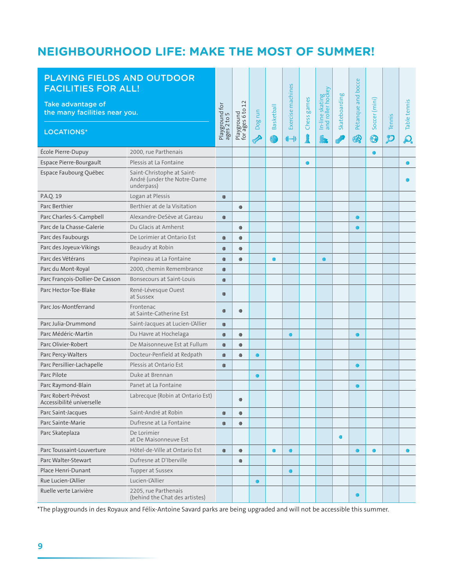## NEIGHBOURHOOD LIFE: MAKE THE MOST OF SUMMER!

| PLAYING FIELDS AND OUTDOOR<br><b>FACILITIES FOR ALL!</b><br>Take advantage of |                                                                         |                               |                                |           |                        |                         |                  |                                           |               | Pétanque and bocce |                             |                         |                          |
|-------------------------------------------------------------------------------|-------------------------------------------------------------------------|-------------------------------|--------------------------------|-----------|------------------------|-------------------------|------------------|-------------------------------------------|---------------|--------------------|-----------------------------|-------------------------|--------------------------|
| the many facilities near you.                                                 |                                                                         | Playground for<br>ages 2 to 5 |                                |           | <b>Basketball</b><br>枪 | Exercise machines<br>业业 | Chess games<br>İ | In-line skating<br>and roller hockey<br>嘉 | Skateboarding | ☎                  | Soccer (mini)<br>$\bigcirc$ | Tennis<br>$\mathcal{P}$ | Table tennis<br>$\Omega$ |
| <b>LOCATIONS*</b>                                                             |                                                                         |                               | Playground<br>for ages 6 to 12 | Dog run   |                        |                         |                  |                                           |               |                    |                             |                         |                          |
| École Pierre-Dupuy                                                            | 2000, rue Parthenais                                                    |                               |                                |           |                        |                         |                  |                                           |               |                    |                             |                         |                          |
| Espace Pierre-Bourgault                                                       | Plessis at La Fontaine                                                  |                               |                                |           |                        |                         | $\bullet$        |                                           |               |                    |                             |                         | $\bullet$                |
| Espace Faubourg Québec                                                        | Saint-Christophe at Saint-<br>André (under the Notre-Dame<br>underpass) |                               |                                |           |                        |                         |                  |                                           |               |                    |                             |                         |                          |
| P.A.Q. 19                                                                     | Logan at Plessis                                                        | $\bullet$                     |                                |           |                        |                         |                  |                                           |               |                    |                             |                         |                          |
| Parc Berthier                                                                 | Berthier at de la Visitation                                            |                               | $\bullet$                      |           |                        |                         |                  |                                           |               |                    |                             |                         |                          |
| Parc Charles-S.-Campbell                                                      | Alexandre-DeSève at Gareau                                              | $\bullet$                     |                                |           |                        |                         |                  |                                           |               | $\bullet$          |                             |                         |                          |
| Parc de la Chasse-Galerie                                                     | Du Glacis at Amherst                                                    |                               | $\bullet$                      |           |                        |                         |                  |                                           |               | $\bullet$          |                             |                         |                          |
| Parc des Faubourgs                                                            | De Lorimier at Ontario Est                                              | $\bullet$                     | $\bullet$                      |           |                        |                         |                  |                                           |               |                    |                             |                         |                          |
| Parc des Joyeux-Vikings                                                       | Beaudry at Robin                                                        | $\bullet$                     | $\bullet$                      |           |                        |                         |                  |                                           |               |                    |                             |                         |                          |
| Parc des Vétérans                                                             | Papineau at La Fontaine                                                 | $\bullet$                     | $\bullet$                      |           |                        |                         |                  |                                           |               |                    |                             |                         |                          |
| Parc du Mont-Royal                                                            | 2000, chemin Remembrance                                                | $\bullet$                     |                                |           |                        |                         |                  |                                           |               |                    |                             |                         |                          |
| Parc François-Dollier-De Casson                                               | Bonsecours at Saint-Louis                                               | $\bullet$                     |                                |           |                        |                         |                  |                                           |               |                    |                             |                         |                          |
| Parc Hector-Toe-Blake                                                         | René-Lévesque Ouest<br>at Sussex                                        | $\bullet$                     |                                |           |                        |                         |                  |                                           |               |                    |                             |                         |                          |
| Parc Jos-Montferrand                                                          | Frontenac<br>at Sainte-Catherine Est                                    | $\bullet$                     | $\bullet$                      |           |                        |                         |                  |                                           |               |                    |                             |                         |                          |
| Parc Julia-Drummond                                                           | Saint-Jacques at Lucien-L'Allier                                        | $\bullet$                     |                                |           |                        |                         |                  |                                           |               |                    |                             |                         |                          |
| Parc Médéric-Martin                                                           | Du Havre at Hochelaga                                                   | $\bullet$                     | $\bullet$                      |           |                        |                         |                  |                                           |               | $\bullet$          |                             |                         |                          |
| Parc Olivier-Robert                                                           | De Maisonneuve Est at Fullum                                            | $\bullet$                     | $\bullet$                      |           |                        |                         |                  |                                           |               |                    |                             |                         |                          |
| Parc Percy-Walters                                                            | Docteur-Penfield at Redpath                                             | $\bullet$                     | $\bullet$                      | $\bullet$ |                        |                         |                  |                                           |               |                    |                             |                         |                          |
| Parc Persillier-Lachapelle                                                    | Plessis at Ontario Est                                                  | $\bullet$                     |                                |           |                        |                         |                  |                                           |               | $\bullet$          |                             |                         |                          |
| Parc Pilote                                                                   | Duke at Brennan                                                         |                               |                                | $\bullet$ |                        |                         |                  |                                           |               |                    |                             |                         |                          |
| Parc Raymond-Blain                                                            | Panet at La Fontaine                                                    |                               |                                |           |                        |                         |                  |                                           |               | $\bullet$          |                             |                         |                          |
| Parc Robert-Prévost<br>Accessibilité universelle                              | Labrecque (Robin at Ontario Est)                                        |                               |                                |           |                        |                         |                  |                                           |               |                    |                             |                         |                          |
| Parc Saint-Jacques                                                            | Saint-André at Robin                                                    | $\bullet$                     | $\bullet$                      |           |                        |                         |                  |                                           |               |                    |                             |                         |                          |
| Parc Sainte-Marie                                                             | Dufresne at La Fontaine                                                 | $\bullet$                     | $\bullet$                      |           |                        |                         |                  |                                           |               |                    |                             |                         |                          |
| Parc Skateplaza                                                               | De Lorimier<br>at De Maisonneuve Est                                    |                               |                                |           |                        |                         |                  |                                           | $\bullet$     |                    |                             |                         |                          |
| Parc Toussaint-Louverture                                                     | Hôtel-de-Ville at Ontario Est                                           | $\bullet$                     | $\bullet$                      |           |                        | $\bullet$               |                  |                                           |               | $\bullet$          |                             |                         | $\bullet$                |
| Parc Walter-Stewart                                                           | Dufresne at D'Iberville                                                 |                               | $\bullet$                      |           |                        |                         |                  |                                           |               |                    |                             |                         |                          |
| Place Henri-Dunant                                                            | Tupper at Sussex                                                        |                               |                                |           |                        | $\bullet$               |                  |                                           |               |                    |                             |                         |                          |
| Rue Lucien-L'Allier                                                           | Lucien-L'Allier                                                         |                               |                                | $\bullet$ |                        |                         |                  |                                           |               |                    |                             |                         |                          |
| Ruelle verte Larivière                                                        | 2205, rue Parthenais<br>(behind the Chat des artistes)                  |                               |                                |           |                        |                         |                  |                                           |               |                    |                             |                         |                          |

\*The playgrounds in des Royaux and Félix-Antoine Savard parks are being upgraded and will not be accessible this summer.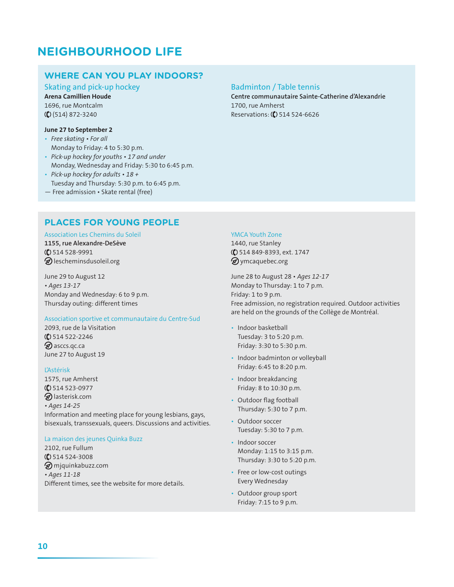## **NEIGHBOURHOOD LIFE**

## **WHERE CAN YOU PLAY INDOORS?**

Skating and pick-up hockey

**Arena Camillien Houde** 1696, rue Montcalm  $($  (\$) (514) 872-3240

#### June 27 to September 2

- Free skating For all Monday to Friday: 4 to 5:30 p.m.
- Pick-up hockey for youths 17 and under
- Monday, Wednesday and Friday: 5:30 to 6:45 p.m. • Pick-up hockey for adults • 18 +
- Tuesday and Thursday: 5:30 p.m. to 6:45 p.m.
- Free admission · Skate rental (free)

## **PLACES FOR YOUNG PEOPLE**

#### Association Les Chemins du Soleil

1155, rue Alexandre-DeSève  $($  514 528-9991 **@** lescheminsdusoleil.org

June 29 to August 12 • Ages 13-17 Monday and Wednesday: 6 to 9 p.m. Thursday outing: different times

#### Association sportive et communautaire du Centre-Sud

2093, rue de la Visitation  $($  $)$  514 522-2246 **D** asccs.qc.ca June 27 to August 19

#### ĽAstérisk

1575, rue Amherst  $($  $)$  514 523-0977 Dlasterisk.com • Ages 14-25 Information and meeting place for young lesbians, gays, bisexuals, transsexuals, queers. Discussions and activities.

#### La maison des jeunes Quinka Buzz

2102, rue Fullum  $($  514 524-3008 miquinkabuzz.com  $\cdot$  Ages 11-18 Different times, see the website for more details.

#### **Badminton / Table tennis**

Centre communautaire Sainte-Catherine d'Alexandrie 1700. rue Amherst Reservations: (C) 514 524-6626

#### **YMCA Youth Zone**

1440, rue Stanley (C) 514 849-8393, ext. 1747 **Ø**ymcaquebec.org

June 28 to August 28 · Ages 12-17 Monday to Thursday: 1 to 7 p.m. Friday: 1 to 9 p.m. Free admission, no registration required. Outdoor activities are held on the grounds of the Collège de Montréal.

- · Indoor basketball Tuesday: 3 to 5:20 p.m. Friday: 3:30 to 5:30 p.m.
- Indoor badminton or volleyball Friday: 6:45 to 8:20 p.m.
- Indoor breakdancing Friday: 8 to 10:30 p.m.
- Outdoor flag football Thursday: 5:30 to 7 p.m.
- Outdoor soccer Tuesday: 5:30 to 7 p.m.
- · Indoor soccer Monday: 1:15 to 3:15 p.m. Thursday: 3:30 to 5:20 p.m.
- Free or low-cost outings Every Wednesday
- Outdoor group sport Friday: 7:15 to 9 p.m.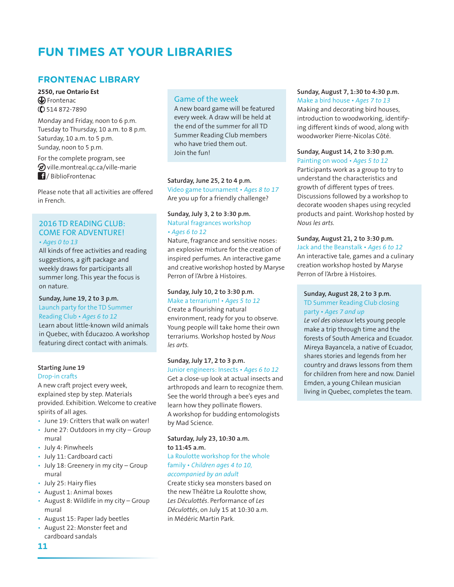## **FUN TIMES AT YOUR LIBRARIES**

## **FRONTENAC LIBRARY**

#### 2550. rue Ontario Est **D** Frontenac  $($  514 872-7890

Monday and Friday, noon to 6 p.m. Tuesday to Thursday, 10 a.m. to 8 p.m. Saturday, 10 a.m. to 5 p.m. Sunday, noon to 5 p.m.

For the complete program, see ⊗ ville.montreal.qc.ca/ville-marie **1**/BiblioFrontenac

Please note that all activities are offered in French

## 2016 TD READING CLUB: **COME FOR ADVENTURE!**

 $\cdot$  Ages 0 to 13

All kinds of free activities and reading suggestions, a gift package and weekly draws for participants all summer long. This year the focus is on nature.

#### Sunday, June 19, 2 to 3 p.m. Launch party for the TD Summer Reading Club . Ages 6 to 12

Learn about little-known wild animals in Quebec, with Éducazoo. A workshop featuring direct contact with animals.

#### **Starting June 19**

#### Drop-in crafts

A new craft project every week, explained step by step. Materials provided. Exhibition. Welcome to creative spirits of all ages.

- June 19: Critters that walk on water!
- June 27: Outdoors in my city Group mural
- · July 4: Pinwheels
- · July 11: Cardboard cacti
- July 18: Greenery in my city Group mural
- July 25: Hairy flies
- August 1: Animal boxes
- August 8: Wildlife in my city Group mural
- August 15: Paper lady beetles
- · August 22: Monster feet and cardboard sandals

#### 11

## **Game of the week**

A new board game will be featured every week. A draw will be held at the end of the summer for all TD Summer Reading Club members who have tried them out. loin the fun!

#### Saturday, June 25, 2 to 4 p.m.

Video game tournament • Ages 8 to 17 Are you up for a friendly challenge?

#### Sunday, July 3, 2 to 3:30 p.m. Natural fragrances workshop · Ages 6 to 12

Nature, fragrance and sensitive noses: an explosive mixture for the creation of inspired perfumes. An interactive game and creative workshop hosted by Maryse Perron of l'Arbre à Histoires.

#### Sunday, July 10, 2 to 3:30 p.m.

Make a terrarium! . Ages 5 to 12 Create a flourishing natural environment, ready for you to observe. Young people will take home their own terrariums. Workshop hosted by Nous  $les$  arts.

## Sunday, July 17, 2 to 3 p.m.

Junior engineers: Insects • Ages 6 to 12 Get a close-up look at actual insects and arthropods and learn to recognize them. See the world through a bee's eyes and learn how they pollinate flowers. A workshop for budding entomologists by Mad Science.

#### Saturday, July 23, 10:30 a.m. to 11:45 a.m.

#### La Roulotte workshop for the whole family · Children ages 4 to 10, accompanied by an adult

Create sticky sea monsters based on the new Théâtre La Roulotte show. Les Déculottés. Performance of Les Déculottés, on July 15 at 10:30 a.m. in Médéric Martin Park.

#### Sunday, August 7, 1:30 to 4:30 p.m. Make a bird house · Ages 7 to 13

Making and decorating bird houses, introduction to woodworking, identifying different kinds of wood, along with woodworker Pierre-Nicolas Côté.

#### Sunday, August 14, 2 to 3:30 p.m. Painting on wood · Ages 5 to 12

Participants work as a group to try to understand the characteristics and growth of different types of trees. Discussions followed by a workshop to decorate wooden shapes using recycled products and paint. Workshop hosted by Nous les arts.

#### Sunday, August 21, 2 to 3:30 p.m.

Jack and the Beanstalk · Ages 6 to 12 An interactive tale, games and a culinary creation workshop hosted by Maryse Perron of l'Arbre à Histoires.

### Sunday, August 28, 2 to 3 p.m.

### TD Summer Reading Club closing party · Ages 7 and up

Le vol des oiseaux lets young people make a trip through time and the forests of South America and Ecuador. Mireya Bayancela, a native of Ecuador, shares stories and legends from her country and draws lessons from them for children from here and now. Daniel Emden, a young Chilean musician living in Quebec, completes the team.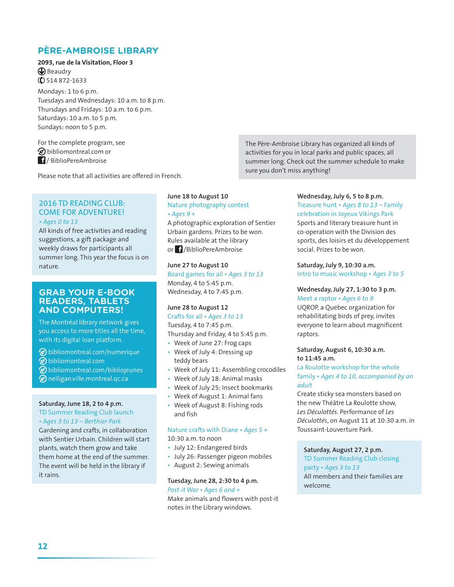## **PÈRE-AMBROISE LIBRARY**

2093, rue de la Visitation, Floor 3  $\bigcirc$  Beaudry  $($  $)$  514 872-1633

Mondays: 1 to 6 p.m. Tuesdays and Wednesdays: 10 a.m. to 8 p.m. Thursdays and Fridays: 10 a.m. to 6 p.m. Saturdays: 10 a.m. to 5 p.m. Sundays: noon to 5 p.m.

For the complete program, see  $\oslash$  bibliomontreal.com or 1/BiblioPereAmbroise

Please note that all activities are offered in French.

### **2016 TD READING CLUB: COME FOR ADVENTURE!**  $\cdot$  Ages 0 to 13

All kinds of free activities and reading suggestions, a gift package and weekly draws for participants all summer long. This year the focus is on nature.

#### **GRAB YOUR E-BOOK READERS, TABLETS AND COMPUTERS!**

The Montréal library network gives you access to more titles all the time, with its digital loan platform.

- **O** bibliomontreal.com/numerique
- bibliomontreal.com
- **O**bibliomontreal.com/bibliojeunes
- **⊘** nelligan.ville.montreal.qc.ca

#### Saturday, June 18, 2 to 4 p.m.

TD Summer Reading Club launch

• Ages 3 to 13 - Berthier Park

Gardening and crafts, in collaboration with Sentier Urbain. Children will start plants, watch them grow and take them home at the end of the summer. The event will be held in the library if it rains.

## June 18 to August 10

Nature photography contest  $\cdot$  Ages 9 +

A photographic exploration of Sentier Urbain gardens. Prizes to be won. Rules available at the library or *i* /BiblioPereAmbroise

#### June 27 to August 10

Board games for all . Ages 3 to 13 Monday, 4 to 5:45 p.m. Wednesday, 4 to 7:45 p.m.

#### June 28 to August 12

Crafts for all . Ages 3 to 13 Tuesday, 4 to 7:45 p.m. Thursday and Friday, 4 to 5:45 p.m.

- Week of June 27: Frog caps
- Week of July 4: Dressing up teddy bears
- Week of July 11: Assembling crocodiles
- Week of July 18: Animal masks
- Week of July 25: Insect bookmarks
- Week of August 1: Animal fans
- Week of August 8: Fishing rods and fish

## Nature crafts with Diane  $\cdot$  Ages 5 +

10:30 a.m. to noon

- · July 12: Endangered birds
- · July 26: Passenger pigeon mobiles
- August 2: Sewing animals

#### Tuesday, June 28, 2:30 to 4 p.m. Post-it War . Ages 6 and +

Make animals and flowers with post-it notes in the Library windows.

The Père-Ambroise Library has organized all kinds of activities for you in local parks and public spaces, all summer long. Check out the summer schedule to make sure you don't miss anything!

## Wednesday, July 6, 5 to 8 p.m.

Treasure hunt  $\cdot$  Ages 8 to 13 – Family celebration in Joyeux Vikings Park Sports and literary treasure hunt in co-operation with the Division des sports, des loisirs et du développement social. Prizes to be won.

Saturday, July 9, 10:30 a.m. Intro to music workshop . Ages 3 to 5

## Wednesday, July 27, 1:30 to 3 p.m.

Meet a raptor · Ages 6 to 9 UOROP, a Quebec organization for rehabilitating birds of prey, invites everyone to learn about magnificent raptors.

#### Saturday, August 6, 10:30 a.m. to 11:45 a.m.

#### La Roulotte workshop for the whole family • Ages 4 to 10, accompanied by an adult

Create sticky sea monsters based on the new Théâtre La Roulotte show. Les Déculottés. Performance of Les Déculottés, on August 11 at 10:30 a.m. in Toussaint-Louverture Park.

Saturday, August 27, 2 p.m. TD Summer Reading Club closing party · Ages 3 to 13 All members and their families are welcome.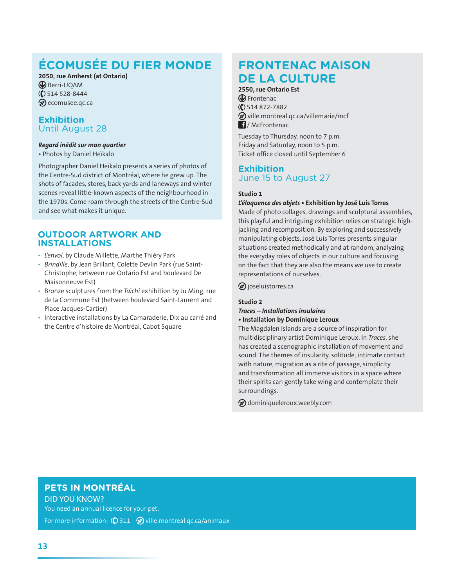## **ÉCOMUSÉE DU FIER MONDE**

2050, rue Amherst (at Ontario) **B** Berri-UQAM  $($  514 528-8444 ⊗ecomusee.gc.ca

## **Exhibition Until August 28**

#### Regard inédit sur mon quartier

· Photos by Daniel Heïkalo

Photographer Daniel Heïkalo presents a series of photos of the Centre-Sud district of Montréal, where he grew up. The shots of facades, stores, back yards and laneways and winter scenes reveal little-known aspects of the neighbourhood in the 1970s. Come roam through the streets of the Centre-Sud and see what makes it unique.

### **OUTDOOR ARTWORK AND INSTALLATIONS**

- · L'envol, by Claude Millette, Marthe Thiéry Park
- · Brindille, by Jean Brillant, Colette Devlin Park (rue Saint-Christophe, between rue Ontario Est and boulevard De Maisonneuve Est)
- Bronze sculptures from the Taïchi exhibition by Ju Ming, rue de la Commune Est (between boulevard Saint-Laurent and Place Jacques-Cartier)
- · Interactive installations by La Camaraderie, Dix au carré and the Centre d'histoire de Montréal, Cabot Square

## **FRONTENAC MAISON DE LA CULTURE**

### 2550, rue Ontario Est

**C** Frontenac  $($  514 872-7882 Dville.montreal.qc.ca/villemarie/mcf  $\blacksquare$ / McFrontenac

Tuesday to Thursday, noon to 7 p.m. Friday and Saturday, noon to 5 p.m. Ticket office closed until September 6

## **Exhibition** June 15 to August 27

#### Studio 1

#### L'éloquence des objets · Exhibition by José Luis Torres

Made of photo collages, drawings and sculptural assemblies, this playful and intriguing exhibition relies on strategic highjacking and recomposition. By exploring and successively manipulating objects, José Luis Torres presents singular situations created methodically and at random, analyzing the everyday roles of objects in our culture and focusing on the fact that they are also the means we use to create representations of ourselves.

 $\circledR$  joseluistorres.ca

#### Studio 2

Traces - Installations insulaires • Installation by Dominique Leroux

The Magdalen Islands are a source of inspiration for multidisciplinary artist Dominique Leroux. In Traces, she has created a scenographic installation of movement and sound. The themes of insularity, solitude, intimate contact with nature, migration as a rite of passage, simplicity and transformation all immerse visitors in a space where their spirits can gently take wing and contemplate their surroundings.

**@** dominiqueleroux.weebly.com

## PETS IN MONTRÉAL

**DID YOU KNOW?** You need an annual licence for your pet.

For more information:  $\binom{1}{2}$  311  $\otimes$  ville montreal qc.ca/animaux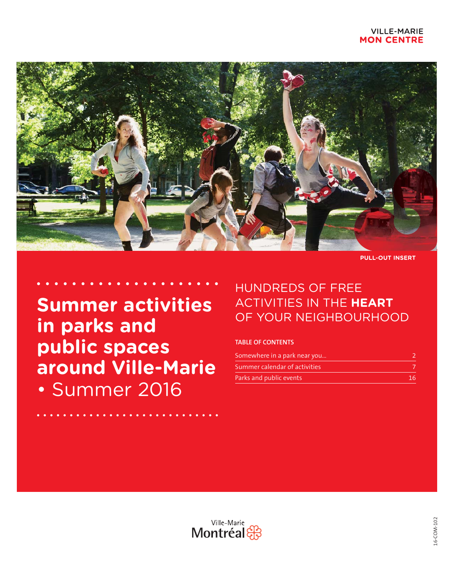

**PULL-OUT INSERT**

**Summer activities in parks and public spaces around Ville-Marie** • Summer 2016

## HUNDREDS OF FREE ACTIVITIES IN THE **HEART** OF YOUR NEIGHBOURHOOD

## **TABLE OF CONTENTS**

| Somewhere in a park near you  |     |
|-------------------------------|-----|
| Summer calendar of activities |     |
| Parks and public events       | 16. |

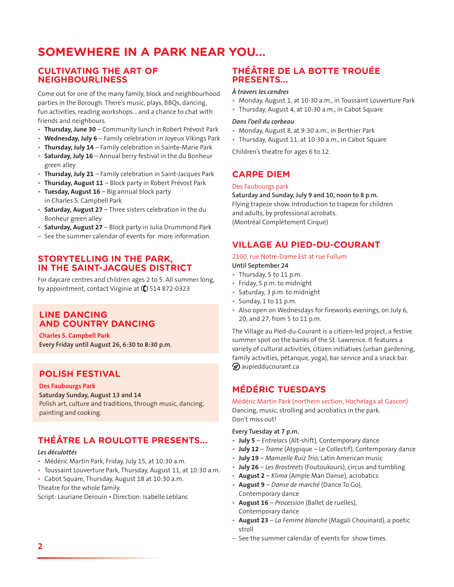## **SOMEWHERE IN A PARK NEAR YOU...**

## **CULTIVATING THE ART OF NEIGHBOURLINESS**

Come out for one of the many family, block and neighbourhood parties in the Borough. There's music, plays, BBQs, dancing, fun activities, reading workshops… and a chance to chat with friends and neighbours.

- **· Thursday, June 30** Community lunch in Robert Prévost Park
- Wednesday, July 6 Family celebration in Joyeux Vikings Park
- **· Thursday, July 14** Family celebration in Sainte-Marie Park
- **Saturday, July 16** Annual berry festival in the du Bonheur green alley
- **Thursday, July 21** Family celebration in Saint-Jacques Park
- Thursday, August 11 Block party in Robert Prévost Park
- Tuesday, August 16 Big annual block party in Charles S. Campbell Park
- **Saturday, August 27** Three sisters celebration in the du Bonheur green alley
- **Saturday, August 27** Block party in Julia Drummond Park
- See the summer calendar of events for more information.

### **STORYTELLING IN THE PARK, IN THE SAINT-JACQUES DISTRICT**

For daycare centres and children ages 2 to 5. All summer long, by appointment, contact Virginie at  $($ ) 514 872-0323

### **LINE DANCING AND COUNTRY DANCING**

**Charles S. Campbell Park Every Friday until August 26, 6:30 to 8:30 p.m.** 

### **POLISH FESTIVAL**

#### **Des Faubourgs Park**

#### **Saturday Sunday, August 13 and 14**

Polish art, culture and traditions, through music, dancing, painting and cooking.

## **THÉÂTRE LA ROULOTTE PRESENTS...**

#### *Les déculottés*

- Médéric Martin Park, Friday, July 15, at 10:30 a.m.
- Toussaint Louverture Park, Thursday, August 11, at 10:30 a.m.
- Cabot Square, Thursday, August 18 at 10:30 a.m. Theatre for the whole family.

Script: Lauriane Derouin · Direction: Isabelle Leblanc

## **THÉÂTRE DE LA BOTTE TROUÉE PRESENTS...**

#### *À travers les cendres*

- Monday, August 1, at 10:30 a.m., in Toussaint Louverture Park
- Thursday, August 4, at 10:30 a.m., in Cabot Square

#### *Dans l'oeil du corbeau*

- Monday, August 8, at 9:30 a.m., in Berthier Park
- Thursday, August 11, at 10:30 a.m., in Cabot Square

Children's theatre for ages 6 to 12.

## **CARPE DIEM**

#### Des Faubourgs park

**Saturday and Sunday, July 9 and 10, noon to 8 p.m.** Flying trapeze show. Introduction to trapeze for children and adults, by professional acrobats. (Montréal Complètement Cirque)

### **VILLAGE AU PIED-DU-COURANT**

#### 2100, rue Notre-Dame Est at rue Fullum

- **Until September 24**
- Thursday, 5 to 11 p.m.
- $\cdot$  Friday, 5 p.m. to midnight
- Saturday, 3 p.m. to midnight
- $\cdot$  Sunday, 1 to 11 p.m.
- Also open on Wednesdays for fireworks evenings, on July 6, 20, and 27, from 5 to 11 p.m.

The Village au Pied-du-Courant is a citizen-led project, a festive summer spot on the banks of the St. Lawrence. It features a variety of cultural activities, citizen initiatives (urban gardening, family activities, pétanque, yoga), bar service and a snack bar.  $\mathcal D$  aupiedducourant.ca

## **MÉDÉRIC TUESDAYS**

Médéric Martin Park (northern section, Hochelaga at Gascon) Dancing, music, strolling and acrobatics in the park. Don't miss out!

#### **Every Tuesday at 7 p.m.**

- **July 5** *Entrelacs* (Alt-shift), Contemporary dance
- **July 12** *Trame* (Atypique Le Collectif), Contemporary dance
- **July 19** *Mamzelle Ruiz Trio*, Latin American music
- **July 26** Les Brostreets (Foutoukours), circus and tumbling
- **August 2** *Klima* (Ample Man Danse), acrobatics t **August 9** – *Danse de marché* (Dance To Go), Contemporary dance
- August 16 Procession (Ballet de ruelles), Contemporary dance
- **August 23** *La Femme blanche* (Magali Chouinard), a poetic stroll
- See the summer calendar of events for show times.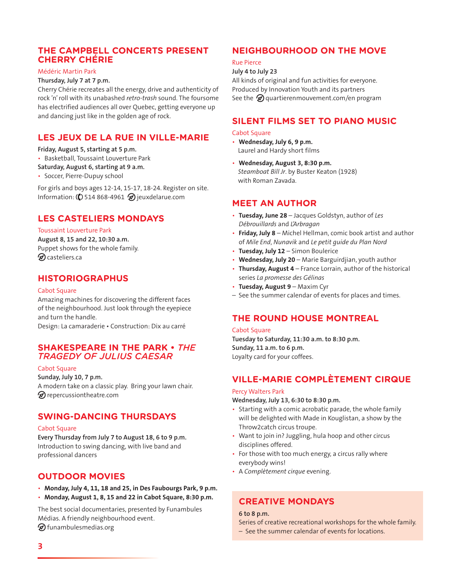## **THE CAMPBELL CONCERTS PRESENT CHERRY CHÉRIE**

#### Médéric Martin Park

#### **Thursday, July 7 at 7 p.m.**

Cherry Chérie recreates all the energy, drive and authenticity of rock 'n' roll with its unabashed *retro-trash* sound. The foursome has electrified audiences all over Quebec, getting everyone up and dancing just like in the golden age of rock.

## **LES JEUX DE LA RUE IN VILLE-MARIE**

**Friday, August 5, starting at 5 p.m.**

- Basketball, Toussaint Louverture Park
- **Saturday, August 6, starting at 9 a.m.**
- Soccer, Pierre-Dupuy school

For girls and boys ages 12-14, 15-17, 18-24. Register on site. Information: ( $\bullet$ ) 514 868-4961  $\oslash$  jeuxdelarue.com

## **LES CASTELIERS MONDAYS**

#### Toussaint Louverture Park

**August 8, 15 and 22, 10:30 a.m.**  Puppet shows for the whole family.  $\oslash$  casteliers.ca

## **HISTORIOGRAPHUS**

#### Cabot Square

Amazing machines for discovering the different faces of the neighbourhood. Just look through the eyepiece and turn the handle.

Design: La camaraderie · Construction: Dix au carré

### **SHAKESPEARE IN THE PARK • THE** *TRAGEDY OF JULIUS CAESAR*

#### **Cabot Square**

**Sunday, July 10, 7 p.m.**

A modern take on a classic play. Bring your lawn chair.  $\mathcal D$  repercussiontheatre.com

### **SWING-DANCING THURSDAYS**

#### Cabot Square

**Every Thursday from July 7 to August 18, 6 to 9 p.m.** Introduction to swing dancing, with live band and professional dancers

## **OUTDOOR MOVIES**

- t **Monday, July 4, 11, 18 and 25, in Des Faubourgs Park, 9 p.m.**
- t **Monday, August 1, 8, 15 and 22 in Cabot Square, 8:30 p.m.**

The best social documentaries, presented by Funambules Médias. A friendly neighbourhood event.

 $\circledast$  funambulesmedias.org

## **NEIGHBOURHOOD ON THE MOVE**

#### Rue Pierce

#### **July 4 to July 23**

All kinds of original and fun activities for everyone. Produced by Innovation Youth and its partners See the  $\bigcirc$  quartierenmouvement.com/en program

## **SILENT FILMS SET TO PIANO MUSIC**

#### Cabot Square

- t **Wednesday, July 6, 9 p.m.** Laurel and Hardy short films
- t **Wednesday, August 3, 8:30 p.m.**  *Steamboat Bill Jr*. by Buster Keaton (1928) with Roman Zavada.

## **MEET AN AUTHOR**

- t **Tuesday, June 28** Jacques Goldstyn, author of *Les Débrouillards* and *L'Arbragan*
- **Friday, July 8** Michel Hellman, comic book artist and author of *Mile End*, *Nunavik* and *Le petit guide du Plan Nord*
- Tuesday, July 12 Simon Boulerice
- Wednesday, July 20 Marie Barguirdjian, youth author
- Thursday, August 4 France Lorrain, author of the historical series *La promesse des Gélinas*
- Tuesday, August 9 Maxim Cyr
- See the summer calendar of events for places and times.

## **THE ROUND HOUSE MONTREAL**

#### Cabot Square

**Tuesday to Saturday, 11:30 a.m. to 8:30 p.m. Sunday, 11 a.m. to 6 p.m.** Loyalty card for your coffees.

## **VILLE-MARIE COMPLÈTEMENT CIRQUE**

## Percy Walters Park

**Wednesday, July 13, 6:30 to 8:30 p.m.** 

- $\cdot$  Starting with a comic acrobatic parade, the whole family will be delighted with Made in Kouglistan, a show by the Throw2catch circus troupe.
- Want to join in? Juggling, hula hoop and other circus disciplines offered.
- $\cdot$  For those with too much energy, a circus rally where everybody wins!
- t A *Complètement cirque* evening.

## **CREATIVE MONDAYS**

#### **6 to 8 p.m.**

- Series of creative recreational workshops for the whole family.
- See the summer calendar of events for locations.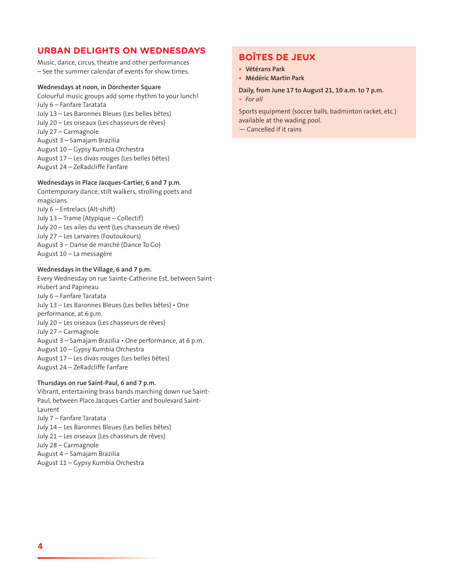## **URBAN DELIGHTS ON WEDNESDAYS**

Music, dance, circus, theatre and other performances – See the summer calendar of events for show times.

#### **Wednesdays at noon, in Dorchester Square**

Colourful music groups add some rhythm to your lunch! July 6 – Fanfare Taratata July 13 – Les Baronnes Bleues (Les belles bêtes) July 20 – Les oiseaux (Les chasseurs de rêves) July 27 – Carmagnole August 3 – Samajam Brazilia August 10 – Gypsy Kumbia Orchestra August 17 – Les divas rouges (Les belles bêtes) August 24 – ZeRadcliffe Fanfare

#### **Wednesdays in Place Jacques-Cartier, 6 and 7 p.m.**

Contemporary dance, stilt walkers, strolling poets and magicians.

July 6 – Entrelacs (Alt-shift) July 13 – Trame (Atypique – Collectif) July 20 – Les ailes du vent (Les chasseurs de rêves) July 27 – Les Larvaires (Foutoukours) August 3 – Danse de marché (Dance To Go) August 10 – La messagère

#### **Wednesdays in the Village, 6 and 7 p.m.**

Every Wednesday on rue Sainte-Catherine Est, between Saint-Hubert and Papineau July 6 – Fanfare Taratata July 13 – Les Baronnes Bleues (Les belles bêtes) • One performance, at 6 p.m. July 20 – Les oiseaux (Les chasseurs de rêves) July 27 – Carmagnole August 3 - Samajam Brazilia • One performance, at 6 p.m. August 10 – Gypsy Kumbia Orchestra August 17 – Les divas rouges (Les belles bêtes) August 24 – ZeRadcliffe Fanfare

#### **Thursdays on rue Saint-Paul, 6 and 7 p.m.**

Vibrant, entertaining brass bands marching down rue Saint-Paul, between Place Jacques-Cartier and boulevard Saint-Laurent July 7 – Fanfare Taratata July 14 – Les Baronnes Bleues (Les belles bêtes) July 21 – Les oiseaux (Les chasseurs de rêves) July 28 – Carmagnole August 4 – Samajam Brazilia August 11 – Gypsy Kumbia Orchestra

## **BOÎTES DE JEUX**

- **t Vétérans Park**
- **t Médéric Martin Park**

#### **Daily, from June 17 to August 21, 10 a.m. to 7 p.m.**

*t For all*

Sports equipment (soccer balls, badminton racket, etc.) available at the wading pool.

— Cancelled if it rains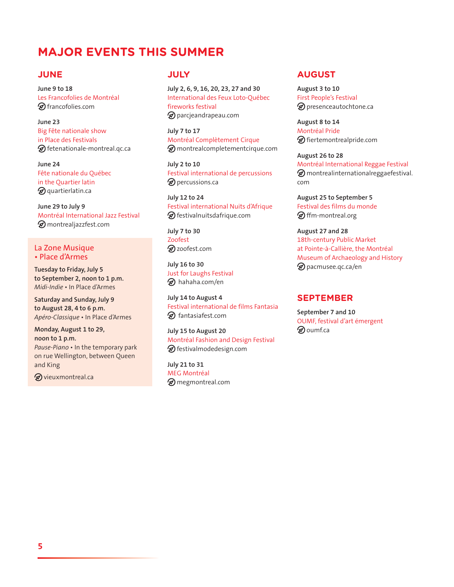## **MAJOR EVENTS THIS SUMMER**

## **JUNE**

**June 9 to 18**  Les Francofolies de Montréal  $\mathcal D$  francofolies.com

**June 23** Big Fête nationale show in Place des Festivals  $\mathcal D$  fetenationale-montreal.qc.ca

**June 24** Fête nationale du Québec in the Quartier latin  $\mathcal D$  quartierlatin.ca

**June 29 to July 9** Montréal International Jazz Festival montrealjazzfest.com

#### La Zone Musique • Place d'Armes

**Tuesday to Friday, July 5 to September 2, noon to 1 p.m.**  *Midi-Indie* • In Place d'Armes

**Saturday and Sunday, July 9 to August 28, 4 to 6 p.m.** Apéro-Classique · In Place d'Armes

**Monday, August 1 to 29, noon to 1 p.m.** *Pause-Piano* • In the temporary park on rue Wellington, between Queen and King

 $\mathcal D$  vieuxmontreal.ca

## **JULY**

**July 2, 6, 9, 16, 20, 23, 27 and 30** International des Feux Loto-Québec fireworks festival parcjeandrapeau.com

**July 7 to 17**  Montréal Complètement Cirque montrealcompletementcirque.com

**July 2 to 10** Festival international de percussions **D** percussions.ca

**July 12 to 24** Festival international Nuits d'Afrique  $\circledast$  festivalnuitsdafrique.com

**July 7 to 30**  Zoofest zoofest.com

**July 16 to 30** Just for Laughs Festival  $\circledR$  hahaha.com/en

**July 14 to August 4** Festival international de films Fantasia  $\mathcal{D}$  fantasiafest.com

**July 15 to August 20** Montréal Fashion and Design Festival festivalmodedesign.com

**July 21 to 31** MEG Montréal **⊘** megmontreal.com

### **AUGUST**

**August 3 to 10**  First People's Festival presenceautochtone.ca

**August 8 to 14**  Montréal Pride fiertemontrealpride.com

**August 26 to 28**  Montréal International Reggae Festival  $\oslash$  montrealinternationalreggaefestival. com

**August 25 to September 5** Festival des films du monde  $\mathcal D$  ffm-montreal.org

**August 27 and 28**  18th-century Public Market at Pointe-à-Callière, the Montréal Museum of Archaeology and History **D** pacmusee.qc.ca/en

## **SEPTEMBER**

**September 7 and 10** OUMF, festival d'art émergent  $\otimes$  oumf.ca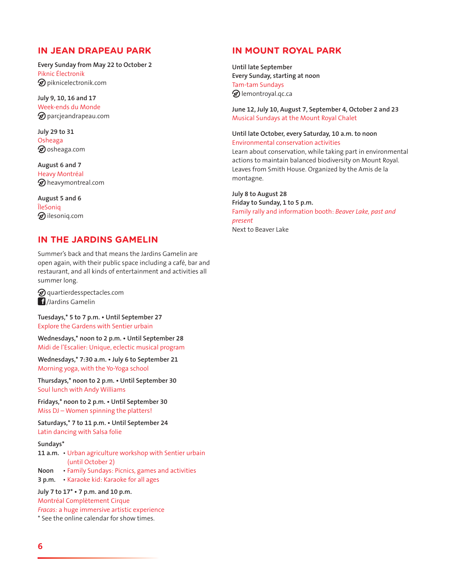## **IN JEAN DRAPEAU PARK**

**Every Sunday from May 22 to October 2** Piknic Électronik  $\mathcal D$  piknicelectronik.com

**July 9, 10, 16 and 17** Week-ends du Monde  $\mathcal D$  parcjeandrapeau.com

**July 29 to 31** Osheaga  $\circledast$  osheaga.com

**August 6 and 7** Heavy Montréal heavymontreal.com

**August 5 and 6** ÎleSoniq  $\circledast$ ilesoniq.com

## **IN THE JARDINS GAMELIN**

Summer's back and that means the Jardins Gamelin are open again, with their public space including a café, bar and restaurant, and all kinds of entertainment and activities all summer long.

 $\mathcal D$  quartierdesspectacles.com /Jardins Gamelin

Tuesdays,\* 5 to 7 p.m. . Until September 27 Explore the Gardens with Sentier urbain

Wednesdays,\* noon to 2 p.m. . Until September 28 Midi de l'Escalier: Unique, eclectic musical program

Wednesdays,\* 7:30 a.m. . July 6 to September 21 Morning yoga, with the Yo-Yoga school

Thursdays,\* noon to 2 p.m. . Until September 30 Soul lunch with Andy Williams

Fridays,\* noon to 2 p.m. . Until September 30 Miss DJ – Women spinning the platters!

Saturdays,\* 7 to 11 p.m. . Until September 24 Latin dancing with Salsa folie

#### **Sundays\***

- 11 a.m. Urban agriculture workshop with Sentier urbain (until October 2)
- Noon Family Sundays: Picnics, games and activities
- **3 p.m.** Karaoke kid: Karaoke for all ages

July 7 to 17<sup>\*</sup> . 7 p.m. and 10 p.m.

Montréal Complètement Cirque

*Fracas:* a huge immersive artistic experience

\* See the online calendar for show times.

## **IN MOUNT ROYAL PARK**

**Until late September Every Sunday, starting at noon** Tam-tam Sundays **D** lemontroyal.qc.ca

**June 12, July 10, August 7, September 4, October 2 and 23** Musical Sundays at the Mount Royal Chalet

#### **Until late October, every Saturday, 10 a.m. to noon** Environmental conservation activities

Learn about conservation, while taking part in environmental actions to maintain balanced biodiversity on Mount Royal. Leaves from Smith House. Organized by the Amis de la montagne.

#### **July 8 to August 28**

**Friday to Sunday, 1 to 5 p.m.**  Family rally and information booth: *Beaver Lake, past and present* Next to Beaver Lake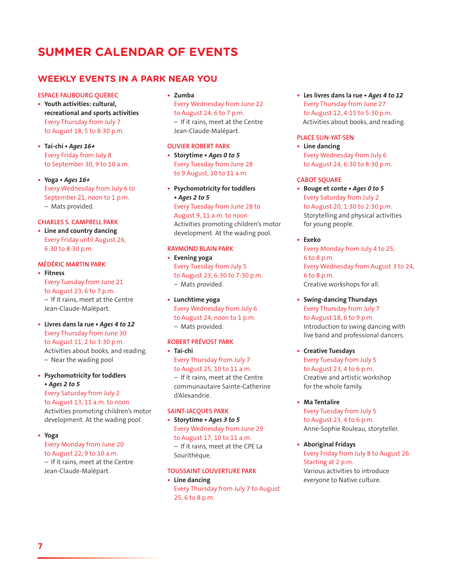## **SUMMER CALENDAR OF EVENTS**

## **WEEKLY EVENTS IN A PARK NEAR YOU**

#### **ESPACE FAUBOURG QUÉBEC**

- **t Youth activities: cultural, recreational and sports activities** Every Thursday from July 7 to August 18, 5 to 8:30 p.m.
- Tai-chi Ages 16+ Every Friday from July 8 to September 30, 9 to 10 a.m.
- **Yoga** Ages 16+ Every Wednesday from July 6 to September 21, noon to 1 p.m. – Mats provided.

#### **CHARLES S. CAMPBELL PARK**

**t Line and country dancing**  Every Friday until August 26, 6:30 to 8:30 p.m.

#### **MÉDÉRIC MARTIN PARK**

- **t Fitness**  Every Tuesday from June 21 to August 23, 6 to 7 p.m.  $-$  If it rains, meet at the Centre Jean-Claude-Malépart.
- **t** Livres dans la rue . Ages 4 to 12 Every Thursday from June 30 to August 11, 2 to 3:30 p.m. Activities about books, and reading. – Near the wading pool
- **t Psychomotricity for toddlers t***Ages 2 to 5*

Every Saturday from July 2 to August 13, 11 a.m. to noon Activities promoting children's motor development. At the wading pool.

- **t Yoga** 
	- Every Monday from June 20 to August 22, 9 to 10 a.m.

 $-$  If it rains, meet at the Centre Jean-Claude-Malépart.

#### **t Zumba**

Every Wednesday from June 22 to August 24, 6 to 7 p.m. - If it rains, meet at the Centre Jean-Claude-Malépart.

#### **OLIVIER ROBERT PARK**

• Storytime • Ages 0 to 5 Every Tuesday from June 28 to 9 August, 10 to 11 a.m.

**t Psychomotricity for toddlers**  • Ages 2 to 5 Every Tuesday from June 28 to August 9, 11 a.m. to noon Activities promoting children's motor development. At the wading pool.

#### **RAYMOND BLAIN PARK**

- **t Evening yoga**  Every Tuesday from July 5 to August 23, 6:30 to 7:30 p.m. – Mats provided.
- **t Lunchtime yoga**  Every Wednesday from July 6 to August 24, noon to 1 p.m. – Mats provided.

#### **ROBERT PRÉVOST PARK**

- **t Tai-chi**
- Every Thursday from July 7 to August 25, 10 to 11 a.m.  $-$  If it rains, meet at the Centre communautaire Sainte-Catherine d'Alexandrie.

#### **SAINT-JACQUES PARK**

Sourithèque.

- Storytime Ages 3 to 5 Every Wednesday from June 29 to August 17, 10 to 11 a.m. - If it rains, meet at the CPE La
- **TOUSSAINT LOUVERTURE PARK**
- **t Line dancing**  Every Thursday from July 7 to August 25, 6 to 8 p.m.

• Les livres dans la rue • Ages 4 to 12 Every Thursday from June 27 to August 12, 4:15 to 5:30 p.m. Activities about books, and reading.

#### **PLACE SUN-YAT-SEN**

**t Line dancing**  Every Wednesday from July 6 to August 24, 6:30 to 8:30 p.m.

#### **CABOT SQUARE**

**• Bouge et conte • Ages 0 to 5** Every Saturday from July 2 to August 20, 1:30 to 2:30 p.m. Storytelling and physical activities for young people.

#### **t Exeko**

Every Monday from July 4 to 25, 6 to 8 p.m. Every Wednesday from August 3 to 24, 6 to 8 p.m. Creative workshops for all.

- **t Swing-dancing Thursdays**  Every Thursday from July 7 to August 18, 6 to 9 p.m. Introduction to swing dancing with live band and professional dancers.
- **t Creative Tuesdays**  Every Tuesday from July 5 to August 23, 4 to 6 p.m. Creative and artistic workshop for the whole family.
- **t Ma Tentalire**  Every Tuesday from July 5 to August 23, 4 to 6 p.m. Anne-Sophie Rouleau, storyteller.
- **t Aboriginal Fridays**  Every Friday from July 8 to August 26 Starting at 2 p.m. Various activities to introduce everyone to Native culture.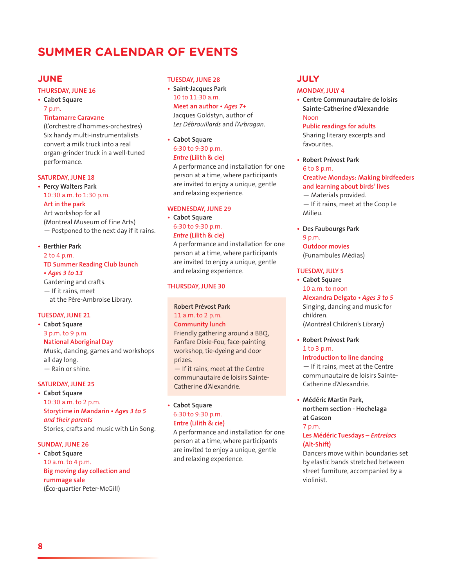## **SUMMER CALENDAR OF EVENTS**

## **JUNE**

#### **THURSDAY, JUNE 16**

**t Cabot Square** 

#### 7 p.m. **Tintamarre Caravane**

(L'orchestre d'hommes-orchestres) Six handy multi-instrumentalists convert a milk truck into a real organ-grinder truck in a well-tuned performance.

#### **SATURDAY, JUNE 18**

#### **t Percy Walters Park**  10:30 a.m. to 1:30 p.m. **Art in the park**  Art workshop for all (Montreal Museum of Fine Arts)

— Postponed to the next day if it rains.

#### **t Berthier Park**  2 to 4 p.m. **TD Summer Reading Club launch t***Ages 3 to 13*

Gardening and crafts.  $-$  If it rains, meet at the Père-Ambroise Library.

#### **TUESDAY, JUNE 21**

#### **t Cabot Square**  3 p.m. to 9 p.m.

## **National Aboriginal Day**

Music, dancing, games and workshops all day long. — Rain or shine.

#### **SATURDAY, JUNE 25**

**t Cabot Square**  10:30 a.m. to 2 p.m. **42BS** Storytime in Mandarin • Ages 3 to 5 *and their parents*  Stories, crafts and music with Lin Song.

#### **SUNDAY, JUNE 26**

**t Cabot Square**  10 a.m. to 4 p.m. **Big moving day collection and rummage sale**  (Éco-quartier Peter-McGill)

#### **TUESDAY, JUNE 28**

- **t Saint-Jacques Park**  10 to 11:30 a.m. **Meet an author • Ages 7+** Jacques Goldstyn, author of *Les Débrouillards* and *l'Arbragan*.
- **t Cabot Square**  6:30 to 9:30 p.m. *Entre* **(Lilith & cie)**  A performance and installation for one

person at a time, where participants are invited to enjoy a unique, gentle and relaxing experience.

#### **WEDNESDAY, JUNE 29**

**t Cabot Square**  6:30 to 9:30 p.m. *Entre* **(Lilith & cie)** 

A performance and installation for one person at a time, where participants are invited to enjoy a unique, gentle and relaxing experience.

#### **THURSDAY, JUNE 30**

## **Robert Prévost Park**  11 a.m. to 2 p.m.

**Community lunch**  Friendly gathering around a BBQ, Fanfare Dixie-Fou, face-painting workshop, tie-dyeing and door prizes.

 $-$  If it rains, meet at the Centre communautaire de loisirs Sainte-Catherine d'Alexandrie.

### **t Cabot Square**  6:30 to 9:30 p.m. **Entre (Lilith & cie)**

A performance and installation for one person at a time, where participants are invited to enjoy a unique, gentle and relaxing experience.

### **JULY**

#### **MONDAY, JULY 4**

**t Centre Communautaire de loisirs Sainte-Catherine d'Alexandrie**  Noon

#### **Public readings for adults**

Sharing literary excerpts and favourites.

**t Robert Prévost Park**  6 to 8 p.m. **Creative Mondays: Making birdfeeders and learning about birds' lives**  — Materials provided.  $-$  If it rains, meet at the Coop Le Milieu.

## **t Des Faubourgs Park**  9 p.m.

**Outdoor movies**  (Funambules Médias)

#### **TUESDAY, JULY 5**

- **t Cabot Square**  10 a.m. to noon Alexandra Delgato · Ages 3 to 5 Singing, dancing and music for children. (Montréal Children's Library)
- **t Robert Prévost Park**  1 to 3 p.m.

#### **Introduction to line dancing**

 $-$  If it rains, meet at the Centre communautaire de loisirs Sainte-Catherine d'Alexandrie.

**t Médéric Martin Park, northern section - Hochelaga at Gascon**

#### 7 p.m.

#### **Les Médéric Tuesdays –** *Entrelacs*  **(Alt-Shift)**

Dancers move within boundaries set by elastic bands stretched between street furniture, accompanied by a violinist.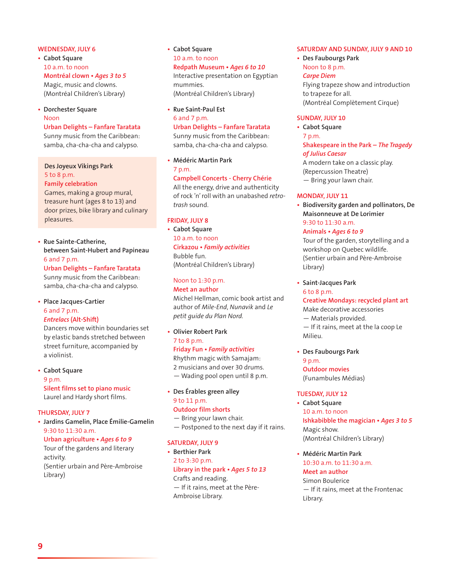#### **WEDNESDAY, JULY 6**

- **t Cabot Square**  10 a.m. to noon **Montréal clown • Ages 3 to 5** Magic, music and clowns. (Montréal Children's Library)
- **t Dorchester Square** Noon

**Urban Delights – Fanfare Taratata** 

Sunny music from the Caribbean: samba, cha-cha-cha and calypso.

**Des Joyeux Vikings Park**  5 to 8 p.m.

#### **Family celebration**

Games, making a group mural, treasure hunt (ages 8 to 13) and door prizes, bike library and culinary pleasures.

#### **t Rue Sainte-Catherine, between Saint-Hubert and Papineau**  6 and 7 p.m.

**Urban Delights – Fanfare Taratata**  Sunny music from the Caribbean: samba, cha-cha-cha and calypso.

### **t Place Jacques-Cartier**  6 and 7 p.m.

*Entrelacs* **(Alt-Shift)** 

Dancers move within boundaries set by elastic bands stretched between street furniture, accompanied by a violinist.

**t Cabot Square**  9 p.m. **Silent films set to piano music**  Laurel and Hardy short films.

#### **THURSDAY, JULY 7**

**t Jardins Gamelin, Place Émilie-Gamelin**  9:30 to 11:30 a.m.

**Urban agriculture · Ages 6 to 9** Tour of the gardens and literary

activity. (Sentier urbain and Père-Ambroise Library)

## **t Cabot Square**  10 a.m. to noon

Redpath Museum · Ages 6 to 10 Interactive presentation on Egyptian mummies. (Montréal Children's Library)

**t Rue Saint-Paul Est**  6 and 7 p.m. **Urban Delights – Fanfare Taratata** 

Sunny music from the Caribbean: samba, cha-cha-cha and calypso.

**t Médéric Martin Park**  7 p.m.

**Campbell Concerts - Cherry Chérie**  All the energy, drive and authenticity of rock 'n' roll with an unabashed *retrotrash* sound.

#### **FRIDAY, JULY 8**

**t Cabot Square**  10 a.m. to noon **Cirkazou • Family activities** Bubble fun. (Montréal Children's Library)

Noon to 1:30 p.m. **Meet an author**  Michel Hellman, comic book artist and author of *Mile-End*, *Nunavik* and *Le petit guide du Plan Nord.*

#### **t Olivier Robert Park**  7 to 8 p.m. **Friday Fun • Family activities**

Rhythm magic with Samajam: 2 musicians and over 30 drums. — Wading pool open until 8 p.m.

**t Des Érables green alley** 9 to 11 p.m. **Outdoor film shorts** 

- Bring your lawn chair.
- Postponed to the next day if it rains.

#### **SATURDAY, JULY 9**

**t Berthier Park**  2 to 3:30 p.m. Library in the park • Ages 5 to 13 Crafts and reading. - If it rains, meet at the Père-Ambroise Library.

#### **SATURDAY AND SUNDAY, JULY 9 AND 10**

**t Des Faubourgs Park**  Noon to 8 p.m. *Carpe Diem* Flying trapeze show and introduction to trapeze for all. (Montréal Complètement Cirque)

#### **SUNDAY, JULY 10**

**t Cabot Square**  7 p.m. **Shakespeare in the Park –** *The Tragedy of Julius Caesar*  A modern take on a classic play. (Repercussion Theatre) — Bring your lawn chair.

#### **MONDAY, JULY 11**

**t Biodiversity garden and pollinators, De Maisonneuve at De Lorimier**  9:30 to 11:30 a.m. Animals · Ages 6 to 9

Tour of the garden, storytelling and a workshop on Quebec wildlife. (Sentier urbain and Père-Ambroise Library)

**t Saint-Jacques Park**  6 to 8 p.m.

**Creative Mondays: recycled plant art**  Make decorative accessories — Materials provided.  $-$  If it rains, meet at the la coop Le Milieu.

**t Des Faubourgs Park** 

9 p.m. **Outdoor movies**  (Funambules Médias)

#### **TUESDAY, JULY 12**

**t Cabot Square**  10 a.m. to noon **Ishkabibble the magician • Ages 3 to 5** Magic show. (Montréal Children's Library)

**t Médéric Martin Park**  10:30 a.m. to 11:30 a.m. **Meet an author**  Simon Boulerice  $-$  If it rains, meet at the Frontenac Library.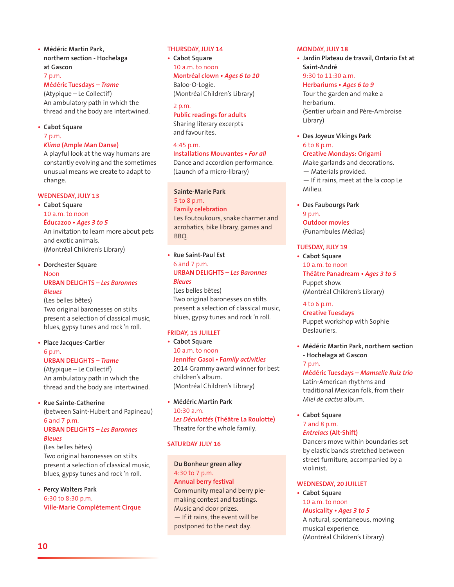#### **t Médéric Martin Park, northern section - Hochelaga at Gascon**

#### 7 p.m.

## **Médéric Tuesdays –** *Trame*

(Atypique – Le Collectif) An ambulatory path in which the thread and the body are intertwined.

#### **t Cabot Square**

7 p.m.

#### *Klima* **(Ample Man Danse)**

A playful look at the way humans are constantly evolving and the sometimes unusual means we create to adapt to change.

#### **WEDNESDAY, JULY 13**

**t Cabot Square**  10 a.m. to noon **Éducazoo** • Ages 3 to 5 An invitation to learn more about pets

and exotic animals. (Montréal Children's Library)

#### **t Dorchester Square**

## Noon **URBAN DELIGHTS –** *Les Baronnes Bleues*

(Les belles bêtes) Two original baronesses on stilts present a selection of classical music, blues, gypsy tunes and rock 'n roll.

#### **t Place Jacques-Cartier**  6 p.m.

#### **URBAN DELIGHTS –** *Trame*

(Atypique – Le Collectif) An ambulatory path in which the thread and the body are intertwined.

**t Rue Sainte-Catherine** 

(between Saint-Hubert and Papineau) 6 and 7 p.m. **URBAN DELIGHTS –** *Les Baronnes Bleues* 

#### (Les belles bêtes) Two original baronesses on stilts present a selection of classical music, blues, gypsy tunes and rock 'n roll.

**t Percy Walters Park**  6:30 to 8:30 p.m. **Ville-Marie Complètement Cirque**

#### **THURSDAY, JULY 14**

**t Cabot Square**  10 a.m. to noon **Montréal clown • Ages 6 to 10** Baloo-O-Logie. (Montréal Children's Library)

2 p.m. **Public readings for adults**  Sharing literary excerpts and favourites.

#### 4:45 p.m.

**Installations Mouvantes • For all** Dance and accordion performance. (Launch of a micro-library)

#### **Sainte-Marie Park**

5 to 8 p.m. **Family celebration**  Les Foutoukours, snake charmer and acrobatics, bike library, games and BBQ.

**t Rue Saint-Paul Est**  6 and 7 p.m. **URBAN DELIGHTS –** *Les Baronnes Bleues*

(Les belles bêtes) Two original baronesses on stilts present a selection of classical music, blues, gypsy tunes and rock 'n roll.

#### **FRIDAY, 15 JUILLET**

**t Cabot Square**  10 a.m. to noon **Jennifer Gasoi • Family activities** 2014 Grammy award winner for best children's album. (Montréal Children's Library)

**t Médéric Martin Park**  10:30 a.m. *Les Déculottés* **(Théâtre La Roulotte)**  Theatre for the whole family.

#### **SATURDAY JULY 16**

**Du Bonheur green alley**  4:30 to 7 p.m. **Annual berry festival**  Community meal and berry piemaking contest and tastings. Music and door prizes.  $-$  If it rains, the event will be postponed to the next day.

#### **MONDAY, JULY 18**

**t Jardin Plateau de travail, Ontario Est at Saint-André**  9:30 to 11:30 a.m.

### **Herbariums · Ages 6 to 9**

Tour the garden and make a herbarium. (Sentier urbain and Père-Ambroise Library)

**t Des Joyeux Vikings Park** 6 to 8 p.m. **Creative Mondays: Origami**  Make garlands and decorations.

— Materials provided.  $-$  If it rains, meet at the la coop Le Milieu.

**t Des Faubourgs Park**  9 p.m. **Outdoor movies** 

(Funambules Médias)

#### **TUESDAY, JULY 19**

**t Cabot Square**  10 a.m. to noon **Théâtre Panadream • Ages 3 to 5** Puppet show. (Montréal Children's Library)

4 to 6 p.m. **Creative Tuesdays** 

Puppet workshop with Sophie Deslauriers.

**t Médéric Martin Park, northern section - Hochelaga at Gascon**

#### 7 p.m.

**Médéric Tuesdays –** *Mamselle Ruiz trio*  Latin-American rhythms and traditional Mexican folk, from their *Miel de cactus* album.

**t Cabot Square**  7 and 8 p.m. *Entrelacs* **(Alt-Shift)** 

Dancers move within boundaries set by elastic bands stretched between street furniture, accompanied by a violinist.

#### **WEDNESDAY, 20 JUILLET**

**t Cabot Square**  10 a.m. to noon **Musicality** • Ages 3 to 5 A natural, spontaneous, moving musical experience. (Montréal Children's Library)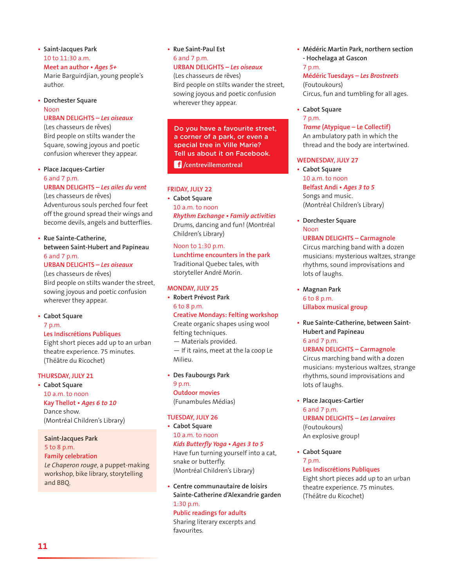- **t Saint-Jacques Park**  10 to 11:30 a.m. Meet an author · Ages 5+ Marie Barguirdjian, young people's author.
- **t Dorchester Square**  Noon

#### **URBAN DELIGHTS –** *Les oiseaux*

(Les chasseurs de rêves) Bird people on stilts wander the Square, sowing joyous and poetic confusion wherever they appear.

#### **t Place Jacques-Cartier**  6 and 7 p.m. **URBAN DELIGHTS –** *Les ailes du vent*

(Les chasseurs de rêves) Adventurous souls perched four feet off the ground spread their wings and become devils, angels and butterflies.

#### **t Rue Sainte-Catherine, between Saint-Hubert and Papineau**  6 and 7 p.m.

**URBAN DELIGHTS –** *Les oiseaux* 

(Les chasseurs de rêves) Bird people on stilts wander the street, sowing joyous and poetic confusion wherever they appear.

**t Cabot Square** 

#### 7 p.m.

#### **Les Indiscrétions Publiques**

Eight short pieces add up to an urban theatre experience. 75 minutes. (Théâtre du Ricochet)

#### **THURSDAY, JULY 21**

**t Cabot Square**  10 a.m. to noon Kay Thellot · Ages 6 to 10 Dance show. (Montréal Children's Library)

## **Saint-Jacques Park**

## 5 to 8 p.m.

and BBQ.

**Family celebration**  *Le Chaperon rouge*, a puppet-making workshop, bike library, storytelling

#### **t Rue Saint-Paul Est**  6 and 7 p.m.

## **URBAN DELIGHTS –** *Les oiseaux*

(Les chasseurs de rêves) Bird people on stilts wander the street, sowing joyous and poetic confusion wherever they appear.

Do you have a favourite street, a corner of a park, or even a special tree in Ville Marie? Tell us about it on Facebook.

 **/centrevillemontreal**

#### **FRIDAY, JULY 22**

**t Cabot Square**  10 a.m. to noon **Rhythm Exchange • Family activities** Drums, dancing and fun! (Montréal Children's Library)

#### Noon to 1:30 p.m.

**Lunchtime encounters in the park**  Traditional Quebec tales, with storyteller André Morin.

#### **MONDAY, JULY 25**

**t Robert Prévost Park**  6 to 8 p.m.

**Creative Mondays: Felting workshop**  Create organic shapes using wool

felting techniques.

— Materials provided.

 $-$  If it rains, meet at the la coop Le Milieu.

**t Des Faubourgs Park** 

9 p.m. **Outdoor movies**  (Funambules Médias)

#### **TUESDAY, JULY 26**

- **t Cabot Square**  10 a.m. to noon *Kids Butterfly Yoga***t***Ages 3 to 5*  Have fun turning yourself into a cat, snake or butterfly. (Montréal Children's Library)
- **t Centre communautaire de loisirs Sainte-Catherine d'Alexandrie garden**  1:30 p.m.

**Public readings for adults**  Sharing literary excerpts and favourites.

**t Médéric Martin Park, northern section - Hochelaga at Gascon** 7 p.m.

## **Médéric Tuesdays –** *Les Brostreets*

(Foutoukours) Circus, fun and tumbling for all ages.

**t Cabot Square** 

## 7 p.m.

*Trame* **(Atypique – Le Collectif)**  An ambulatory path in which the thread and the body are intertwined.

#### **WEDNESDAY, JULY 27**

**t Cabot Square**  10 a.m. to noon **Belfast Andi · Ages 3 to 5** Songs and music. (Montréal Children's Library)

**t Dorchester Square**  Noon **URBAN DELIGHTS – Carmagnole** 

Circus marching band with a dozen musicians: mysterious waltzes, strange rhythms, sound improvisations and lots of laughs.

**t Magnan Park**  6 to 8 p.m. **Lillabox musical group**

**t Rue Sainte-Catherine, between Saint-Hubert and Papineau**  6 and 7 p.m.

#### **URBAN DELIGHTS – Carmagnole**

Circus marching band with a dozen musicians: mysterious waltzes, strange rhythms, sound improvisations and lots of laughs.

**t Place Jacques-Cartier** 

6 and 7 p.m. **URBAN DELIGHTS –** *Les Larvaires*  (Foutoukours) An explosive group!

**t Cabot Square**  7 p.m. **Les Indiscrétions Publiques** 

Eight short pieces add up to an urban theatre experience. 75 minutes. (Théâtre du Ricochet)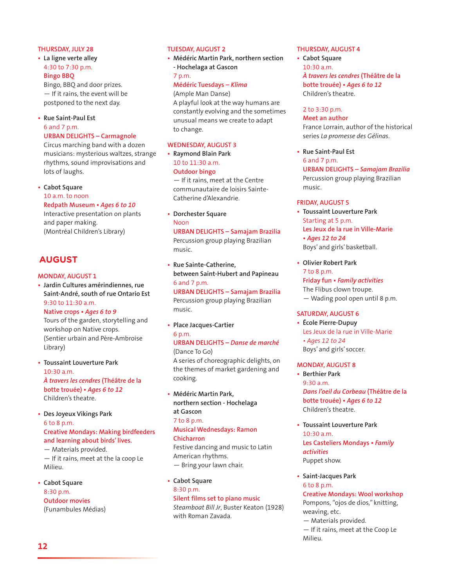#### **THURSDAY, JULY 28**

**t La ligne verte alley** 4:30 to 7:30 p.m. **Bingo BBQ** 

Bingo, BBQ and door prizes.  $-$  If it rains, the event will be postponed to the next day.

## **t Rue Saint-Paul Est**

#### 6 and 7 p.m. **URBAN DELIGHTS – Carmagnole**

Circus marching band with a dozen musicians: mysterious waltzes, strange rhythms, sound improvisations and lots of laughs.

**t Cabot Square** 

10 a.m. to noon

## Redpath Museum · Ages 6 to 10

Interactive presentation on plants and paper making. (Montréal Children's Library)

## **AUGUST**

#### **MONDAY, AUGUST 1**

**t Jardin Cultures amérindiennes, rue Saint-André, south of rue Ontario Est**  9:30 to 11:30 a.m.

#### **Native crops** • Ages 6 to 9

Tours of the garden, storytelling and workshop on Native crops. (Sentier urbain and Père-Ambroise Library)

- **t Toussaint Louverture Park**  10:30 a.m. *À travers les cendres* **(Théâtre de la botte trouée) • Ages 6 to 12** Children's theatre.
- **t Des Joyeux Vikings Park**  6 to 8 p.m. **Creative Mondays: Making birdfeeders and learning about birds' lives.**  — Materials provided.

 $-$  If it rains, meet at the la coop Le Milieu.

**t Cabot Square**  8:30 p.m. **Outdoor movies**  (Funambules Médias)

#### **TUESDAY, AUGUST 2**

**t Médéric Martin Park, northern section - Hochelaga at Gascon**

#### 7 p.m.

#### **Médéric Tuesdays –** *Klima*

(Ample Man Danse) A playful look at the way humans are constantly evolving and the sometimes unusual means we create to adapt to change.

#### **WEDNESDAY, AUGUST 3**

**t Raymond Blain Park**  10 to 11:30 a.m. **Outdoor bingo**   $-$  If it rains, meet at the Centre

communautaire de loisirs Sainte-Catherine d'Alexandrie.

- **t Dorchester Square**  Noon **URBAN DELIGHTS – Samajam Brazilia**  Percussion group playing Brazilian music.
- **t Rue Sainte-Catherine, between Saint-Hubert and Papineau**  6 and 7 p.m. **URBAN DELIGHTS – Samajam Brazilia**  Percussion group playing Brazilian

music.

**t Place Jacques-Cartier**  6 p.m. **URBAN DELIGHTS –** *Danse de marché*

(Dance To Go) A series of choreographic delights, on the themes of market gardening and cooking.

**t Médéric Martin Park, northern section - Hochelaga at Gascon** 7 to 8 p.m. **Musical Wednesdays: Ramon Chicharron** 

Festive dancing and music to Latin American rhythms. — Bring your lawn chair.

**t Cabot Square**  8:30 p.m. **Silent films set to piano music**  *Steamboat Bill Jr*, Buster Keaton (1928) with Roman Zavada.

#### **THURSDAY, AUGUST 4**

**t Cabot Square**  10:30 a.m. *À travers les cendres* **(Théâtre de la botte trouée) • Ages 6 to 12** Children's theatre.

#### 2 to 3:30 p.m.

**Meet an author**  France Lorrain, author of the historical series *La promesse des Gélinas*.

**t Rue Saint-Paul Est**  6 and 7 p.m. **URBAN DELIGHTS –** *Samajam Brazilia* Percussion group playing Brazilian music.

#### **FRIDAY, AUGUST 5**

- **t Toussaint Louverture Park**  Starting at 5 p.m. **Les Jeux de la rue in Ville-Marie t***Ages 12 to 24*  Boys' and girls' basketball.
- **t Olivier Robert Park**  7 to 8 p.m. **Friday fun • Family activities** The Flibus clown troupe. — Wading pool open until 8 p.m.

#### **SATURDAY, AUGUST 6**

**t École Pierre-Dupuy**  Les Jeux de la rue in Ville-Marie • Ages 12 to 24 Boys' and girls' soccer.

#### **MONDAY, AUGUST 8**

- **t Berthier Park**  9:30 a.m. *Dans l'oeil du Corbeau* **(Théâtre de la botte trouée) • Ages 6 to 12** Children's theatre.
- **t Toussaint Louverture Park**  10:30 a.m. Les Casteliers Mondays · Family *activities*  Puppet show.
- **t Saint-Jacques Park**  6 to 8 p.m. **Creative Mondays: Wool workshop**  Pompons, "ojos de dios," knitting, weaving, etc. — Materials provided.  $-$  If it rains, meet at the Coop Le Milieu.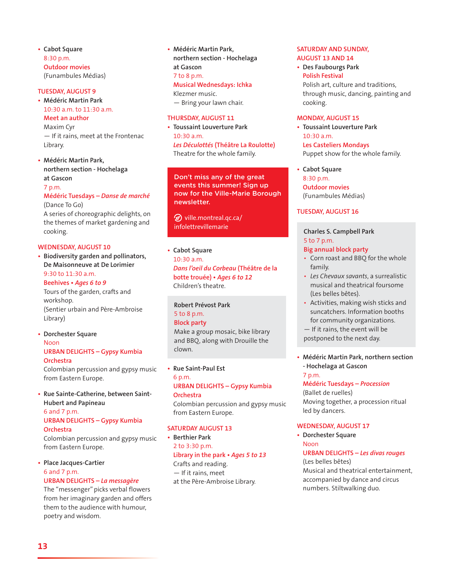**t Cabot Square**  8:30 p.m. **Outdoor movies**  (Funambules Médias)

#### **TUESDAY, AUGUST 9**

**t Médéric Martin Park**  10:30 a.m. to 11:30 a.m. **Meet an author** 

Maxim Cyr  $-$  If it rains, meet at the Frontenac Library.

**t Médéric Martin Park, northern section - Hochelaga at Gascon** 7 p.m.

## **Médéric Tuesdays –** *Danse de marché* (Dance To Go)

A series of choreographic delights, on the themes of market gardening and cooking.

#### **WEDNESDAY, AUGUST 10**

**t Biodiversity garden and pollinators, De Maisonneuve at De Lorimier**  9:30 to 11:30 a.m.

#### Beehives · Ages 6 to 9

Tours of the garden, crafts and workshop. (Sentier urbain and Père-Ambroise Library)

**t Dorchester Square**  Noon **URBAN DELIGHTS – Gypsy Kumbia Orchestra** 

Colombian percussion and gypsy music from Eastern Europe.

**t Rue Sainte-Catherine, between Saint-Hubert and Papineau**  6 and 7 p.m.

#### **URBAN DELIGHTS – Gypsy Kumbia Orchestra**

Colombian percussion and gypsy music from Eastern Europe.

## **t Place Jacques-Cartier**  6 and 7 p.m.

## **URBAN DELIGHTS –** *La messagère*

The "messenger" picks verbal flowers from her imaginary garden and offers them to the audience with humour, poetry and wisdom.

- **t Médéric Martin Park, northern section - Hochelaga at Gascon** 7 to 8 p.m. **Musical Wednesdays: Ichka**  Klezmer music.
	- Bring your lawn chair.

#### **THURSDAY, AUGUST 11**

**t Toussaint Louverture Park**   $10.30 \text{ a m}$ *Les Déculottés* **(Théâtre La Roulotte)**  Theatre for the whole family.

Don't miss any of the great events this summer! Sign up now for the Ville-Marie Borough newsletter.

 $\mathcal D$  ville.montreal.gc.ca/ infolettrevillemarie

**t Cabot Square**  10:30 a.m. *Dans l'oeil du Corbeau* **(Théâtre de la botte trouée) • Ages 6 to 12** Children's theatre.

**Robert Prévost Park**  5 to 8 p.m. **Block party**  Make a group mosaic, bike library

and BBQ, along with Drouille the clown.

#### **t Rue Saint-Paul Est**

6 p.m. **URBAN DELIGHTS – Gypsy Kumbia Orchestra**  Colombian percussion and gypsy music from Eastern Europe.

#### **SATURDAY AUGUST 13**

**t Berthier Park**  2 to 3:30 p.m. Library in the park • Ages 5 to 13 Crafts and reading. - If it rains, meet

at the Père-Ambroise Library.

#### **SATURDAY AND SUNDAY, AUGUST 13 AND 14**

**t Des Faubourgs Park Polish Festival**  Polish art, culture and traditions, through music, dancing, painting and cooking.

#### **MONDAY, AUGUST 15**

**t Toussaint Louverture Park**   $10.30 \times m$ **Les Casteliers Mondays** Puppet show for the whole family.

**t Cabot Square**  8:30 p.m. **Outdoor movies**  (Funambules Médias)

#### **TUESDAY, AUGUST 16**

### **Charles S. Campbell Park**  5 to 7 p.m.

#### **Big annual block party**

- Corn roast and BBQ for the whole family.
- *t Les Chevaux savants*, a surrealistic musical and theatrical foursome (Les belles bêtes).
- Activities, making wish sticks and suncatchers. Information booths for community organizations.
- $-$  If it rains, the event will be postponed to the next day.
- **t Médéric Martin Park, northern section - Hochelaga at Gascon** 7 p.m.

#### **Médéric Tuesdays –** *Procession*

(Ballet de ruelles) Moving together, a procession ritual led by dancers.

#### **WEDNESDAY, AUGUST 17**

**t Dorchester Square**  Noon

#### **URBAN DELIGHTS –** *Les divas rouges* (Les belles bêtes)

Musical and theatrical entertainment, accompanied by dance and circus numbers. Stiltwalking duo.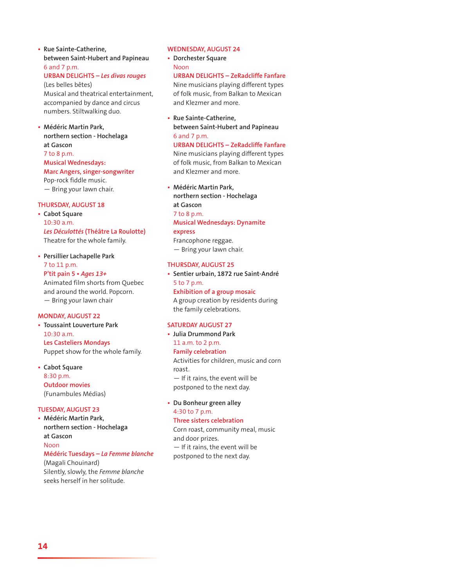**t Rue Sainte-Catherine, between Saint-Hubert and Papineau**  6 and 7 p.m.

**URBAN DELIGHTS –** *Les divas rouges* 

(Les belles bêtes) Musical and theatrical entertainment, accompanied by dance and circus numbers. Stiltwalking duo.

**t Médéric Martin Park, northern section - Hochelaga at Gascon** 7 to 8 p.m. **Musical Wednesdays:** 

**Marc Angers, singer-songwriter**  Pop-rock fiddle music.

— Bring your lawn chair.

#### **THURSDAY, AUGUST 18**

**t Cabot Square**  10:30 a.m. *Les Déculottés* **(Théâtre La Roulotte)**  Theatre for the whole family.

**t Persillier Lachapelle Park**  7 to 11 p.m. P'tit pain 5 · Ages 13+ Animated film shorts from Quebec and around the world. Popcorn.

— Bring your lawn chair **MONDAY, AUGUST 22**

**t Toussaint Louverture Park**  10:30 a.m. **Les Casteliers Mondays** Puppet show for the whole family.

**t Cabot Square**  8:30 p.m. **Outdoor movies**  (Funambules Médias)

#### **TUESDAY, AUGUST 23**

**t Médéric Martin Park, northern section - Hochelaga at Gascon** Noon **Médéric Tuesdays –** *La Femme blanche* (Magali Chouinard)

Silently, slowly, the *Femme blanche* seeks herself in her solitude.

#### **WEDNESDAY, AUGUST 24**

**t Dorchester Square**  Noon

**URBAN DELIGHTS – ZeRadcliffe Fanfare** 

Nine musicians playing different types of folk music, from Balkan to Mexican and Klezmer and more.

**t Rue Sainte-Catherine, between Saint-Hubert and Papineau**  6 and 7 p.m. **URBAN DELIGHTS – ZeRadcliffe Fanfare** 

Nine musicians playing different types of folk music, from Balkan to Mexican and Klezmer and more.

**t Médéric Martin Park, northern section - Hochelaga at Gascon** 7 to 8 p.m. **Musical Wednesdays: Dynamite** 

**express** 

Francophone reggae. — Bring your lawn chair.

#### **THURSDAY, AUGUST 25**

**t Sentier urbain, 1872 rue Saint-André**  5 to 7 p.m. **Exhibition of a group mosaic** 

A group creation by residents during the family celebrations.

#### **SATURDAY AUGUST 27**

- **t Julia Drummond Park**  11 a.m. to 2 p.m. **Family celebration**  Activities for children, music and corn roast.  $-$  If it rains, the event will be postponed to the next day.
- **t Du Bonheur green alley**  4:30 to 7 p.m.

#### **Three sisters celebration**

Corn roast, community meal, music and door prizes.  $-$  If it rains, the event will be postponed to the next day.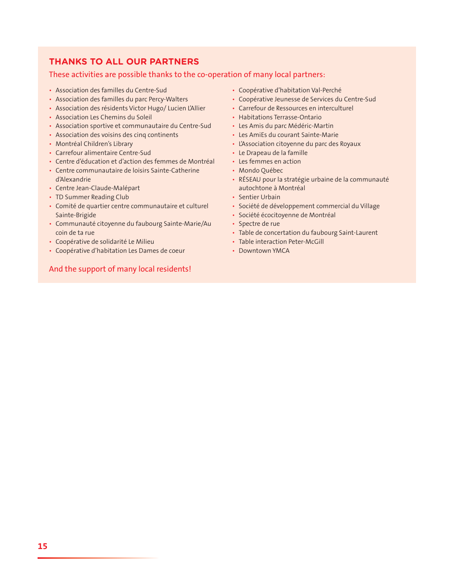## **THANKS TO ALL OUR PARTNERS**

#### These activities are possible thanks to the co-operation of many local partners:

- Association des familles du Centre-Sud
- Association des familles du parc Percy-Walters
- Association des résidents Victor Hugo/ Lucien L'Allier
- **Association Les Chemins du Soleil**
- Association sportive et communautaire du Centre-Sud
- Association des voisins des cinq continents
- Montréal Children's Library
- Carrefour alimentaire Centre-Sud
- Centre d'éducation et d'action des femmes de Montréal
- Centre communautaire de loisirs Sainte-Catherine d'Alexandrie
- Centre Jean-Claude-Malépart
- TD Summer Reading Club
- Comité de quartier centre communautaire et culturel Sainte-Brigide
- Communauté citoyenne du faubourg Sainte-Marie/Au coin de ta rue
- Coopérative de solidarité Le Milieu
- Coopérative d'habitation Les Dames de coeur

## And the support of many local residents!

- Coopérative d'habitation Val-Perché
- t Coopérative Jeunesse de Services du Centre-Sud
- Carrefour de Ressources en interculturel
- Habitations Terrasse-Ontario
- Les Amis du parc Médéric-Martin
- Les AmiEs du courant Sainte-Marie
- L'Association citoyenne du parc des Royaux
- Le Drapeau de la famille
- Les femmes en action
- Mondo Québec
- RÉSEAU pour la stratégie urbaine de la communauté autochtone à Montréal
- Sentier Urbain
- · Société de développement commercial du Village
- · Société écocitoyenne de Montréal
- Spectre de rue
- Table de concertation du faubourg Saint-Laurent
- Table interaction Peter-McGill
- Downtown YMCA